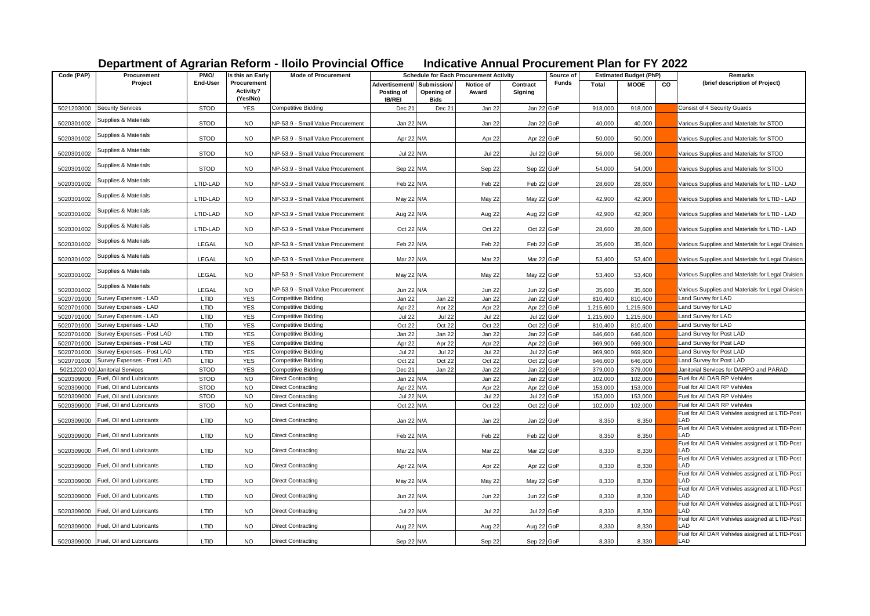| Code (PAP) | Procurement                         | PMO/        | Is this an Early                     | <b>Mode of Procurement</b>        |                                               |                                   | <b>Schedule for Each Procurement Activity</b> |                     | Source of    |           | <b>Estimated Budget (PhP)</b> |    | Remarks                                                                                                   |
|------------|-------------------------------------|-------------|--------------------------------------|-----------------------------------|-----------------------------------------------|-----------------------------------|-----------------------------------------------|---------------------|--------------|-----------|-------------------------------|----|-----------------------------------------------------------------------------------------------------------|
|            | Project                             | End-User    | Procurement<br>Activity?<br>(Yes/No) |                                   | Advertisement/<br>Posting of<br><b>IB/REI</b> | Submission/<br>Opening of<br>Bids | Notice of<br>Award                            | Contract<br>Signing | <b>Funds</b> | Total     | <b>MOOE</b>                   | CO | (brief description of Project)                                                                            |
| 5021203000 | <b>Security Services</b>            | <b>STOD</b> | <b>YES</b>                           | <b>Competitive Bidding</b>        | Dec 21                                        | Dec 21                            | Jan 22                                        | Jan 22              | GoP          | 918,000   | 918,000                       |    | Consist of 4 Security Guards                                                                              |
| 5020301002 | Supplies & Materials                | <b>STOD</b> | <b>NO</b>                            | NP-53.9 - Small Value Procurement | Jan 22 N/A                                    |                                   | Jan 22                                        | Jan 22 GoP          |              | 40,000    | 40,000                        |    | Various Supplies and Materials for STOD                                                                   |
| 5020301002 | Supplies & Materials                | <b>STOD</b> | <b>NO</b>                            | NP-53.9 - Small Value Procurement | Apr 22 N/A                                    |                                   | Apr 22                                        | Apr 22 GoP          |              | 50,000    | 50,000                        |    | Various Supplies and Materials for STOD                                                                   |
| 5020301002 | Supplies & Materials                | <b>STOD</b> | <b>NO</b>                            | NP-53.9 - Small Value Procurement | Jul 22 N/A                                    |                                   | Jul 22                                        | Jul 22 GoP          |              | 56,000    | 56,000                        |    | Various Supplies and Materials for STOD                                                                   |
| 5020301002 | Supplies & Materials                | <b>STOD</b> | <b>NO</b>                            | NP-53.9 - Small Value Procurement | Sep 22 N/A                                    |                                   | Sep 22                                        | Sep 22 GoP          |              | 54,000    | 54,000                        |    | Various Supplies and Materials for STOD                                                                   |
| 5020301002 | Supplies & Materials                | LTID-LAD    | <b>NO</b>                            | NP-53.9 - Small Value Procurement | Feb 22 N/A                                    |                                   | Feb 22                                        | Feb 22 GoP          |              | 28,600    | 28,600                        |    | Various Supplies and Materials for LTID - LAD                                                             |
| 5020301002 | Supplies & Materials                | LTID-LAD    | <b>NO</b>                            | NP-53.9 - Small Value Procurement | May 22 N/A                                    |                                   | May 22                                        | May 22 GoP          |              | 42,900    | 42,900                        |    | Various Supplies and Materials for LTID - LAD                                                             |
| 5020301002 | Supplies & Materials                | LTID-LAD    | <b>NO</b>                            | NP-53.9 - Small Value Procurement | Aug 22 N/A                                    |                                   | Aug 22                                        | Aug 22 GoP          |              | 42,900    | 42,900                        |    | Various Supplies and Materials for LTID - LAD                                                             |
| 5020301002 | Supplies & Materials                | LTID-LAD    | <b>NO</b>                            | NP-53.9 - Small Value Procurement | Oct 22 N/A                                    |                                   | Oct 22                                        | Oct 22 GoP          |              | 28,600    | 28,600                        |    | Various Supplies and Materials for LTID - LAD                                                             |
| 5020301002 | Supplies & Materials                | LEGAL       | <b>NO</b>                            | NP-53.9 - Small Value Procurement | Feb 22 N/A                                    |                                   | Feb 22                                        | Feb 22 GoP          |              | 35,600    | 35,600                        |    | Various Supplies and Materials for Legal Division                                                         |
| 5020301002 | Supplies & Materials                | LEGAL       | <b>NO</b>                            | NP-53.9 - Small Value Procurement | Mar 22 N/A                                    |                                   | Mar 22                                        | Mar 22 GoP          |              | 53,400    | 53,400                        |    | Various Supplies and Materials for Legal Division                                                         |
| 5020301002 | Supplies & Materials                | LEGAL       | <b>NO</b>                            | NP-53.9 - Small Value Procurement | May 22 N/A                                    |                                   | May 22                                        | May 22 GoP          |              | 53,400    | 53,400                        |    | Various Supplies and Materials for Legal Division                                                         |
| 5020301002 | Supplies & Materials                | LEGAL       | <b>NO</b>                            | NP-53.9 - Small Value Procurement | Jun 22 N/A                                    |                                   | <b>Jun 22</b>                                 | Jun 22 GoP          |              | 35,600    | 35,600                        |    | Various Supplies and Materials for Legal Division                                                         |
| 5020701000 | Survey Expenses - LAD               | LTID        | <b>YES</b>                           | <b>Competitive Bidding</b>        | Jan 22                                        | Jan 22                            | Jan 22                                        | Jan 22 GoP          |              | 810,400   | 810,400                       |    | Land Survey for LAD                                                                                       |
| 5020701000 | Survey Expenses - LAD               | LTID        | <b>YES</b>                           | <b>Competitive Bidding</b>        | Apr 22                                        | Apr 22                            | Apr 22                                        | Apr 22 GoP          |              | 1,215,600 | 1,215,600                     |    | Land Survey for LAD                                                                                       |
| 5020701000 | Survey Expenses - LAD               | LTID        | <b>YES</b>                           | <b>Competitive Bidding</b>        | <b>Jul 22</b>                                 | Jul 22                            | <b>Jul 22</b>                                 | Jul 22 GoP          |              | 1,215,600 | 1,215,600                     |    | Land Survey for LAD                                                                                       |
| 5020701000 | Survey Expenses - LAD               | LTID        | <b>YES</b>                           | <b>Competitive Bidding</b>        | Oct 22                                        | Oct 22                            | Oct 22                                        | Oct 22 GoP          |              | 810,400   | 810,400                       |    | Land Survey for LAD                                                                                       |
| 5020701000 | Survey Expenses - Post LAD          | LTID        | <b>YES</b>                           | <b>Competitive Bidding</b>        | Jan 22                                        | Jan 22                            | Jan 22                                        | Jan 22 GoP          |              | 646,600   | 646,600                       |    | Land Survey for Post LAD                                                                                  |
| 5020701000 | Survey Expenses - Post LAD          | LTID        | <b>YES</b>                           | Competitive Bidding               | Apr 22                                        | Apr 22                            | Apr 22                                        | Apr 22 GoP          |              | 969,900   | 969,900                       |    | Land Survey for Post LAD                                                                                  |
| 5020701000 | Survey Expenses - Post LAD          | LTID        | <b>YES</b>                           | Competitive Bidding               | Jul 22                                        | Jul 22                            | <b>Jul 22</b>                                 | <b>Jul 22</b>       | GoP          | 969,900   | 969,900                       |    | Land Survey for Post LAD                                                                                  |
| 5020701000 | Survey Expenses - Post LAD          | LTID        | <b>YES</b>                           | <b>Competitive Bidding</b>        | Oct 22                                        | Oct 22                            | Oct 22                                        | Oct 22 GoP          |              | 646,600   | 646,600                       |    | Land Survey for Post LAD                                                                                  |
|            | 50212020 00 Janitorial Services     | <b>STOD</b> | <b>YES</b>                           | <b>Competitive Bidding</b>        | Dec 21                                        | Jan 22                            | Jan 22                                        | Jan 22 GoP          |              | 379,000   | 379,000                       |    | Janitorial Services for DARPO and PARAD                                                                   |
| 5020309000 | Fuel, Oil and Lubricants            | <b>STOD</b> | <b>NO</b>                            | <b>Direct Contracting</b>         | Jan 22 N/A                                    |                                   | Jan 22                                        | Jan 22 GoP          |              | 102,000   | 102,000                       |    | Fuel for All DAR RP Vehivles                                                                              |
| 5020309000 | Fuel, Oil and Lubricants            | <b>STOD</b> | <b>NO</b>                            | <b>Direct Contracting</b>         | Apr 22 N/A                                    |                                   | Apr 22                                        | Apr 22 GoP          |              | 153,000   | 153,000                       |    | Fuel for All DAR RP Vehivles                                                                              |
| 5020309000 | Fuel, Oil and Lubricants            | <b>STOD</b> | <b>NO</b>                            | <b>Direct Contracting</b>         | Jul 22 N/A                                    |                                   | <b>Jul 22</b>                                 | <b>Jul 22</b>       | GoP          | 153,000   | 153,000                       |    | Fuel for All DAR RP Vehivles                                                                              |
| 5020309000 | Fuel, Oil and Lubricants            | <b>STOD</b> | <b>NO</b>                            | <b>Direct Contracting</b>         | Oct 22 N/A                                    |                                   | Oct 22                                        | Oct 22 GoP          |              | 102,000   | 102,000                       |    | Fuel for All DAR RP Vehivles                                                                              |
|            | 5020309000 Fuel, Oil and Lubricants | LTID        | <b>NO</b>                            | <b>Direct Contracting</b>         | Jan 22 N/A                                    |                                   | Jan 22                                        | Jan 22 GoP          |              | 8,350     | 8,350                         |    | Fuel for All DAR Vehivles assigned at LTID-Post<br>LAD<br>Fuel for All DAR Vehivles assigned at LTID-Post |
|            | 5020309000 Fuel, Oil and Lubricants | LTID        | <b>NO</b>                            | <b>Direct Contracting</b>         | Feb 22 N/A                                    |                                   | Feb 22                                        | Feb 22 GoP          |              | 8,350     | 8,350                         |    | LAD<br>Fuel for All DAR Vehivles assigned at LTID-Post                                                    |
|            | 5020309000 Fuel, Oil and Lubricants | LTID        | <b>NO</b>                            | <b>Direct Contracting</b>         | Mar 22 N/A                                    |                                   | Mar 22                                        | Mar 22 GoP          |              | 8,330     | 8,330                         |    | LAD<br>Fuel for All DAR Vehivles assigned at LTID-Post                                                    |
|            | 5020309000 Fuel, Oil and Lubricants | LTID        | <b>NO</b>                            | <b>Direct Contracting</b>         | Apr 22 N/A                                    |                                   | Apr 22                                        | Apr 22 GoP          |              | 8,330     | 8,330                         |    | LAD<br>Fuel for All DAR Vehivles assigned at LTID-Post                                                    |
|            | 5020309000 Fuel, Oil and Lubricants | LTID        | <b>NO</b>                            | <b>Direct Contracting</b>         | May 22 N/A                                    |                                   | <b>May 22</b>                                 | May 22 GoP          |              | 8,330     | 8,330                         |    | LAD                                                                                                       |
|            | 5020309000 Fuel, Oil and Lubricants | LTID        | <b>NO</b>                            | <b>Direct Contracting</b>         | Jun 22 N/A                                    |                                   | Jun 22                                        | Jun 22 GoP          |              | 8,330     | 8,330                         |    | Fuel for All DAR Vehivles assigned at LTID-Post<br>LAD                                                    |
| 5020309000 | Fuel, Oil and Lubricants            | LTID        | <b>NO</b>                            | <b>Direct Contracting</b>         | Jul 22 N/A                                    |                                   | Jul 22                                        | Jul 22 GoP          |              | 8,330     | 8,330                         |    | Fuel for All DAR Vehivles assigned at LTID-Post<br>LAD                                                    |
|            | 5020309000 Fuel, Oil and Lubricants | LTID        | <b>NO</b>                            | <b>Direct Contracting</b>         | Aug 22 N/A                                    |                                   | Aug 22                                        | Aug 22 GoP          |              | 8,330     | 8,330                         |    | Fuel for All DAR Vehivles assigned at LTID-Post<br>LAD                                                    |
|            | 5020309000 Fuel, Oil and Lubricants | LTID        | <b>NO</b>                            | <b>Direct Contracting</b>         | Sep 22 N/A                                    |                                   | Sep 22                                        | Sep 22 GoP          |              | 8,330     | 8,330                         |    | Fuel for All DAR Vehivles assigned at LTID-Post<br>LAD                                                    |

## **Department of Agrarian Reform - Iloilo Provincial Office Indicative Annual Procurement Plan for FY 2022**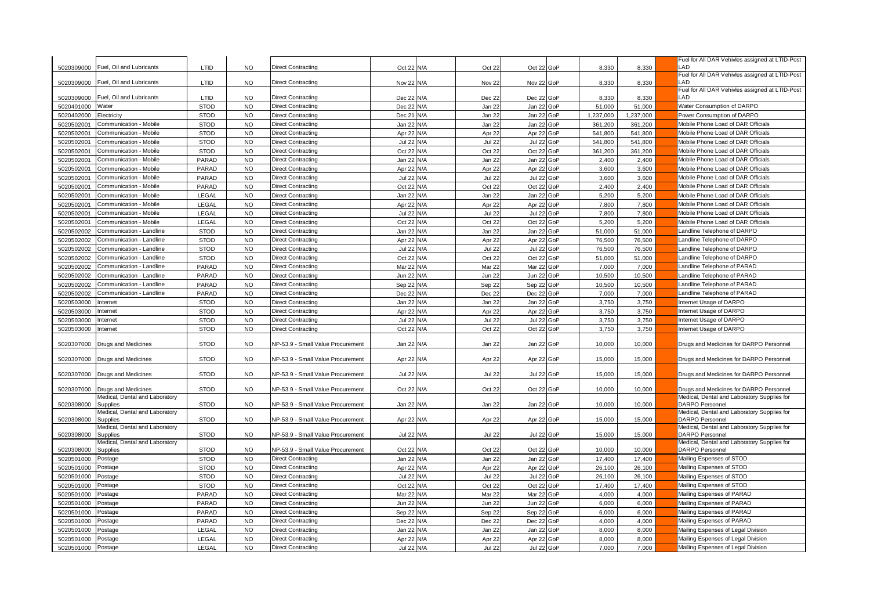|            |                                            |             |           |                                   |            |                   |                      |          |           | Fuel for All DAR Vehivles assigned at LTID-Post                |
|------------|--------------------------------------------|-------------|-----------|-----------------------------------|------------|-------------------|----------------------|----------|-----------|----------------------------------------------------------------|
|            | 5020309000 Fuel, Oil and Lubricants        | LTID        | <b>NO</b> | <b>Direct Contracting</b>         | Oct 22 N/A | Oct 22            | Oct 22 GoP           | 8,330    | 8,330     | AD<br>Fuel for All DAR Vehivles assigned at LTID-Post          |
|            | 5020309000 Fuel, Oil and Lubricants        | LTID        | <b>NO</b> | <b>Direct Contracting</b>         | Nov 22 N/A | Nov <sub>22</sub> | Nov 22 GoP           | 8,330    | 8,330     | LAD                                                            |
|            |                                            |             |           |                                   |            |                   |                      |          |           | Fuel for All DAR Vehivles assigned at LTID-Post                |
| 5020309000 | Fuel, Oil and Lubricants                   | LTID        | NO.       | <b>Direct Contracting</b>         | Dec 22 N/A | Dec 22            | Dec 22 GoP           | 8.330    | 8.330     | LAD                                                            |
| 5020401000 | Water                                      | <b>STOD</b> | <b>NO</b> | <b>Direct Contracting</b>         | Dec 22 N/A | Jan 22            | Jan 22 GoP           | 51,000   | 51,000    | Water Consumption of DARPO                                     |
| 5020402000 | Electricity                                | <b>STOD</b> | NO.       | <b>Direct Contracting</b>         | Dec 21 N/A | Jan 22            | Jan 22 GoP           | .237.000 | 1.237.000 | Power Consumption of DARPO                                     |
| 5020502001 | Communication - Mobile                     | <b>STOD</b> | <b>NO</b> | <b>Direct Contracting</b>         | Jan 22 N/A | Jan 22            | Jan 22 GoP           | 361.200  | 361.200   | Mobile Phone Load of DAR Officials                             |
| 5020502001 | Communication - Mobile                     | <b>STOD</b> | <b>NO</b> | <b>Direct Contracting</b>         | Apr 22 N/A | Apr 22            | Apr 22 GoP           | 541,800  | 541,800   | Mobile Phone Load of DAR Officials                             |
| 5020502001 | Communication - Mobile                     | <b>STOD</b> | NO.       | <b>Direct Contracting</b>         | Jul 22 N/A | <b>Jul 22</b>     | Jul 22 GoP           | 541,800  | 541,800   | Mobile Phone Load of DAR Officials                             |
| 5020502001 | Communication - Mobile                     | <b>STOD</b> | <b>NO</b> | <b>Direct Contracting</b>         | Oct 22 N/A | Oct 22            | Oct 22 GoP           | 361,200  | 361,200   | Mobile Phone Load of DAR Officials                             |
| 5020502001 | Communication - Mobile                     | PARAD       | <b>NO</b> | <b>Direct Contracting</b>         | Jan 22 N/A | Jan 22            | Jan 22 GoP           | 2,400    | 2,400     | Mobile Phone Load of DAR Officials                             |
| 5020502001 | Communication - Mobile                     | PARAD       | <b>NO</b> | Direct Contracting                | Apr 22 N/A | Apr 22            | Apr 22 GoP           | 3,600    | 3,600     | Mobile Phone Load of DAR Officials                             |
| 5020502001 | Communication - Mobile                     | PARAD       | <b>NO</b> | <b>Direct Contracting</b>         | Jul 22 N/A | <b>Jul 22</b>     | <b>Jul 22</b><br>GoP | 3.600    | 3.600     | Mobile Phone Load of DAR Officials                             |
| 5020502001 | Communication - Mobile                     | PARAD       | <b>NO</b> | <b>Direct Contracting</b>         | Oct 22 N/A | Oct 22            | Oct 22 GoP           | 2,400    | 2,400     | Mobile Phone Load of DAR Officials                             |
| 5020502001 | Communication - Mobile                     | LEGAL       | <b>NO</b> | <b>Direct Contracting</b>         | Jan 22 N/A | Jan 22            | Jan 22 GoP           | 5,200    | 5,200     | Mobile Phone Load of DAR Officials                             |
| 5020502001 | Communication - Mobile                     | LEGAL       | <b>NO</b> | <b>Direct Contracting</b>         | Apr 22 N/A | Apr 22            | Apr 22 GoP           | 7,800    | 7,800     | Mobile Phone Load of DAR Officials                             |
| 5020502001 | Communication - Mobile                     | LEGAL       | <b>NO</b> | <b>Direct Contracting</b>         | Jul 22 N/A | <b>Jul 22</b>     | <b>Jul 22</b><br>GoP | 7,800    | 7,800     | Mobile Phone Load of DAR Officials                             |
| 5020502001 | Communication - Mobile                     | LEGAL       | <b>NO</b> | <b>Direct Contracting</b>         | Oct 22 N/A | Oct 22            | Oct 22 GoP           | 5,200    | 5,200     | Mobile Phone Load of DAR Officials                             |
| 5020502002 | Communication - Landline                   | <b>STOD</b> | <b>NO</b> | Direct Contracting                | Jan 22 N/A | Jan 22            | Jan 22 GoP           | 51,000   | 51.000    | Landline Telephone of DARPO                                    |
| 5020502002 | Communication - Landline                   | <b>STOD</b> | <b>NO</b> | <b>Direct Contracting</b>         | Apr 22 N/A | Apr 22            | Apr 22 GoP           | 76,500   | 76,500    | Landline Telephone of DARPO                                    |
| 5020502002 | Communication - Landline                   | <b>STOD</b> | <b>NO</b> | <b>Direct Contracting</b>         | Jul 22 N/A | <b>Jul 22</b>     | Jul 22 GoP           | 76.500   | 76.500    | Landline Telephone of DARPO                                    |
| 5020502002 | Communication - Landline                   | <b>STOD</b> | <b>NO</b> | <b>Direct Contracting</b>         | Oct 22 N/A | Oct 22            | Oct 22 GoP           | 51,000   | 51,000    | Landline Telephone of DARPO                                    |
| 5020502002 | Communication - Landline                   | PARAD       | <b>NO</b> | <b>Direct Contracting</b>         | Mar 22 N/A | Mar 22            | GoP<br>Mar 22        | 7,000    | 7,000     | Landline Telephone of PARAD                                    |
| 5020502002 | Communication - Landline                   | PARAD       | <b>NO</b> | <b>Direct Contracting</b>         | Jun 22 N/A | <b>Jun 22</b>     | Jun 22 GoP           | 10.500   | 10.500    | Landline Telephone of PARAD                                    |
| 5020502002 | Communication - Landline                   | PARAD       | <b>NO</b> | <b>Direct Contracting</b>         | Sep 22 N/A | Sep 22            | Sep 22 GoP           | 10,500   | 10,500    | Landline Telephone of PARAD                                    |
| 5020502002 | Communication - Landline                   | PARAD       | <b>NO</b> | <b>Direct Contracting</b>         | Dec 22 N/A | Dec 22            | Dec 22 GoP           | 7.000    | 7,000     | Landline Telephone of PARAD                                    |
| 5020503000 | Internet                                   | <b>STOD</b> | <b>NO</b> | <b>Direct Contracting</b>         | Jan 22 N/A | Jan 22            | Jan 22 GoP           | 3,750    | 3,750     | Internet Usage of DARPO                                        |
| 5020503000 | Internet                                   | <b>STOD</b> | <b>NO</b> | <b>Direct Contracting</b>         | Apr 22 N/A | Apr 22            | Apr 22 GoP           | 3,750    | 3,750     | Internet Usage of DARPO                                        |
| 5020503000 | nternet                                    | <b>STOD</b> | <b>NO</b> | <b>Direct Contracting</b>         | Jul 22 N/A | <b>Jul 22</b>     | <b>Jul 22</b><br>GoP | 3,750    | 3,750     | Internet Usage of DARPO                                        |
| 5020503000 | nternet                                    | <b>STOD</b> | <b>NO</b> | <b>Direct Contracting</b>         | Oct 22 N/A | Oct 22            | Oct 22 GoP           | 3,750    | 3,750     | Internet Usage of DARPO                                        |
|            |                                            |             |           |                                   |            |                   |                      |          |           |                                                                |
|            | 5020307000 Drugs and Medicines             | <b>STOD</b> | <b>NO</b> | VP-53.9 - Small Value Procurement | Jan 22 N/A | Jan 22            | Jan 22 GoP           | 10,000   | 10,000    | Drugs and Medicines for DARPO Personnel                        |
|            |                                            |             |           | NP-53.9 - Small Value Procurement |            |                   |                      |          |           |                                                                |
|            | 5020307000   Drugs and Medicines           | <b>STOD</b> | <b>NO</b> |                                   | Apr 22 N/A | Apr 22            | Apr 22 GoP           | 15,000   | 15,000    | Drugs and Medicines for DARPO Personnel                        |
|            | 5020307000 Drugs and Medicines             | <b>STOD</b> | <b>NO</b> | VP-53.9 - Small Value Procurement | Jul 22 N/A | <b>Jul 22</b>     | Jul 22 GoP           | 15,000   | 15,000    | Drugs and Medicines for DARPO Personnel                        |
|            |                                            |             |           |                                   |            |                   |                      |          |           |                                                                |
| 5020307000 | Drugs and Medicines                        | <b>STOD</b> | <b>NO</b> | NP-53.9 - Small Value Procurement | Oct 22 N/A | Oct 22            | Oct 22 GoP           | 10,000   | 10,000    | Drugs and Medicines for DARPO Personnel                        |
|            | Medical, Dental and Laboratory             |             |           |                                   |            |                   |                      |          |           | Medical, Dental and Laboratory Supplies for                    |
| 5020308000 | Supplies                                   | <b>STOD</b> | <b>NO</b> | NP-53.9 - Small Value Procurement | Jan 22 N/A | Jan 22            | Jan 22 GoP           | 10,000   | 10,000    | DARPO Personnel                                                |
| 5020308000 | Medical, Dental and Laboratory<br>Supplies | <b>STOD</b> | <b>NO</b> | NP-53.9 - Small Value Procurement | Apr 22 N/A | Apr 22            | Apr 22 GoP           | 15,000   | 15,000    | Medical, Dental and Laboratory Supplies for<br>DARPO Personnel |
|            | Medical, Dental and Laboratory             |             |           |                                   |            |                   |                      |          |           | Medical, Dental and Laboratory Supplies for                    |
| 5020308000 | Supplies                                   | <b>STOD</b> | <b>NO</b> | NP-53.9 - Small Value Procurement | Jul 22 N/A | <b>Jul 22</b>     | Jul 22 GoP           | 15,000   | 15,000    | DARPO Personnel                                                |
|            | Medical, Dental and Laboratory             |             |           |                                   |            |                   |                      |          |           | Medical, Dental and Laboratory Supplies for                    |
| 5020308000 | Supplies                                   | <b>STOD</b> | <b>NO</b> | NP-53.9 - Small Value Procurement | Oct 22 N/A | Oct 22            | Oct 22 GoP           | 10,000   | 10,000    | <b>DARPO Personnel</b>                                         |
| 5020501000 | Postage                                    | <b>STOD</b> | <b>NO</b> | <b>Direct Contracting</b>         | Jan 22 N/A | Jan 22            | Jan 22 GoP           | 17,400   | 17,400    | Mailing Espenses of STOD                                       |
| 5020501000 | Postage                                    | <b>STOD</b> | <b>NO</b> | <b>Direct Contracting</b>         | Apr 22 N/A | Apr 22            | Apr 22 GoP           | 26,100   | 26,100    | Mailing Espenses of STOD                                       |
| 5020501000 | Postage                                    | <b>STOD</b> | <b>NO</b> | <b>Direct Contracting</b>         | Jul 22 N/A | <b>Jul 22</b>     | <b>Jul 22</b><br>GoP | 26,100   | 26,100    | Mailing Espenses of STOD                                       |
| 5020501000 | Postage                                    | <b>STOD</b> | <b>NO</b> | <b>Direct Contracting</b>         | Oct 22 N/A | Oct 22            | Oct 22 GoP           | 17,400   | 17,400    | Mailing Espenses of STOD                                       |
| 5020501000 | Postage                                    | PARAD       | <b>NO</b> | <b>Direct Contracting</b>         | Mar 22 N/A | Mar 22            | Mar 22 GoP           | 4,000    | 4,000     | Mailing Espenses of PARAD                                      |
| 5020501000 | Postage                                    | PARAD       | <b>NO</b> | <b>Direct Contracting</b>         | Jun 22 N/A | <b>Jun 22</b>     | <b>Jun 22</b><br>GoP | 6,000    | 6.000     | Mailing Espenses of PARAD                                      |
| 5020501000 | Postage                                    | PARAD       | <b>NO</b> | <b>Direct Contracting</b>         | Sep 22 N/A | Sep 22            | Sep 22 GoP           | 6,000    | 6,000     | Mailing Espenses of PARAD                                      |
| 5020501000 | Postage                                    | PARAD       | NO.       | <b>Direct Contracting</b>         | Dec 22 N/A | Dec 22            | Dec 22 GoP           | 4.000    | 4.000     | Mailing Espenses of PARAD                                      |
| 5020501000 | Postage                                    | LEGAL       | <b>NO</b> | <b>Direct Contracting</b>         | Jan 22 N/A | Jan 22            | Jan 22<br>GoP        | 8,000    | 8.000     | Mailing Espenses of Legal Division                             |
| 5020501000 | Postage                                    | LEGAL       | <b>NO</b> | <b>Direct Contracting</b>         | Apr 22 N/A | Apr 22            | Apr 22 GoP           | 8,000    | 8.000     | Mailing Espenses of Legal Division                             |
| 5020501000 | Postage                                    | LEGAL       | <b>NO</b> | <b>Direct Contracting</b>         | Jul 22 N/A | <b>Jul 22</b>     | Jul 22 GoP           | 7,000    | 7,000     | Mailing Espenses of Legal Division                             |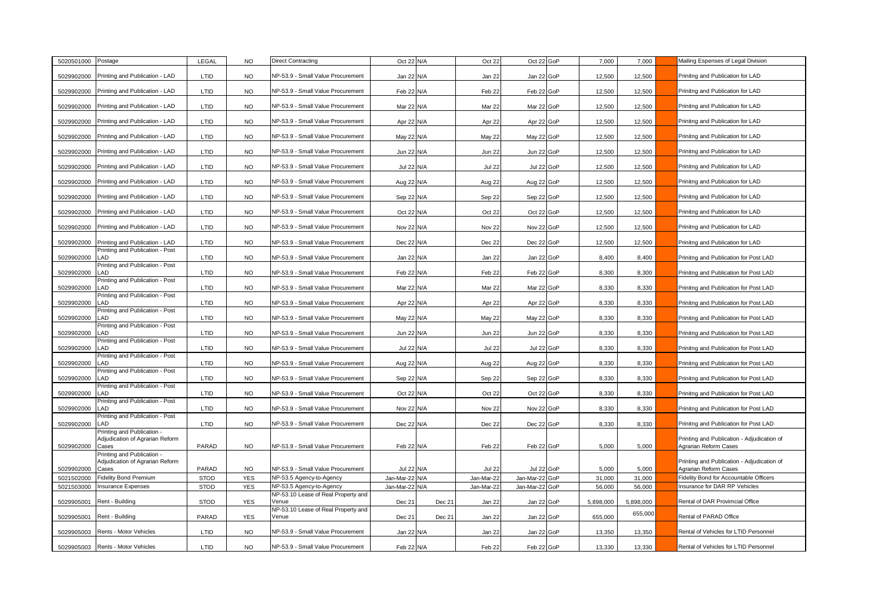| 5020501000 | Postage                                                                | LEGAL       | <b>NO</b>  | Direct Contracting                           | Oct 22 N/A     |        | Oct 22            | Oct 22 GoP     | 7,000     | 7,000     | Mailing Espenses of Legal Division                                  |
|------------|------------------------------------------------------------------------|-------------|------------|----------------------------------------------|----------------|--------|-------------------|----------------|-----------|-----------|---------------------------------------------------------------------|
| 5029902000 | Printing and Publication - LAD                                         | LTID        | <b>NO</b>  | NP-53.9 - Small Value Procurement            | Jan 22 N/A     |        | Jan 22            | Jan 22 GoP     | 12,500    | 12,500    | Prinitng and Publication for LAD                                    |
| 5029902000 | Printing and Publication - LAD                                         | LTID        | <b>NO</b>  | NP-53.9 - Small Value Procurement            | Feb 22 N/A     |        | Feb 22            | Feb 22 GoP     | 12,500    | 12,500    | Prinitng and Publication for LAD                                    |
| 5029902000 | Printing and Publication - LAD                                         | LTID        | <b>NO</b>  | NP-53.9 - Small Value Procurement            | Mar 22 N/A     |        | Mar 22            | Mar 22 GoP     | 12,500    | 12,500    | Prinitng and Publication for LAD                                    |
| 5029902000 | Printing and Publication - LAD                                         | LTID        | <b>NO</b>  | VP-53.9 - Small Value Procurement            | Apr 22 N/A     |        | Apr 22            | Apr 22 GoP     | 12,500    | 12,500    | Prinitng and Publication for LAD                                    |
| 5029902000 | Printing and Publication - LAD                                         | LTID        | <b>NO</b>  | NP-53.9 - Small Value Procurement            | May 22 N/A     |        | May 22            | May 22 GoP     | 12,500    | 12,500    | Prinitng and Publication for LAD                                    |
| 5029902000 | Printing and Publication - LAD                                         | LTID        | NO.        | NP-53.9 - Small Value Procurement            | Jun 22 N/A     |        | <b>Jun 22</b>     | Jun 22 GoP     | 12,500    | 12,500    | Prinitng and Publication for LAD                                    |
|            | 5029902000 Printing and Publication - LAD                              | LTID        | <b>NO</b>  | NP-53.9 - Small Value Procurement            | Jul 22 N/A     |        | <b>Jul 22</b>     | Jul 22 GoP     | 12,500    | 12,500    | Prinitng and Publication for LAD                                    |
| 5029902000 | Printing and Publication - LAD                                         | LTID        | NO.        | NP-53.9 - Small Value Procurement            | Aug 22 N/A     |        | Aug 22            | Aug 22 GoP     | 12,500    | 12,500    | Prinitng and Publication for LAD                                    |
| 5029902000 | Printing and Publication - LAD                                         | LTID        | <b>NO</b>  | NP-53.9 - Small Value Procurement            | Sep 22 N/A     |        | Sep 22            | Sep 22 GoP     | 12,500    | 12,500    | Prinitng and Publication for LAD                                    |
| 5029902000 | Printing and Publication - LAD                                         | LTID        | <b>NO</b>  | NP-53.9 - Small Value Procurement            | Oct 22 N/A     |        | Oct 22            | Oct 22 GoP     | 12,500    | 12,500    | Prinitng and Publication for LAD                                    |
| 5029902000 | Printing and Publication - LAD                                         | LTID        | <b>NO</b>  | NP-53.9 - Small Value Procurement            | Nov 22 N/A     |        | Nov <sub>22</sub> | Nov 22 GoP     | 12,500    | 12,500    | Prinitng and Publication for LAD                                    |
| 5029902000 | Printing and Publication - LAD                                         | LTID        | <b>NO</b>  | NP-53.9 - Small Value Procurement            | Dec 22 N/A     |        | Dec 22            | Dec 22 GoP     | 12,500    | 12,500    | Prinitng and Publication for LAD                                    |
| 5029902000 | Printing and Publication - Post<br>LAD                                 | LTID        | <b>NO</b>  | NP-53.9 - Small Value Procurement            | Jan 22 N/A     |        | Jan 22            | Jan 22 GoP     | 8,400     | 8,400     | Prinitng and Publication for Post LAD                               |
| 5029902000 | Printing and Publication - Post<br>LAD                                 | LTID        | <b>NO</b>  | NP-53.9 - Small Value Procurement            | Feb 22 N/A     |        | Feb <sub>22</sub> | Feb 22 GoP     | 8,300     | 8,300     | Prinitng and Publication for Post LAD                               |
| 5029902000 | Printing and Publication - Post<br>LAD                                 | LTID        | <b>NO</b>  | NP-53.9 - Small Value Procurement            | Mar 22 N/A     |        | Mar 22            | Mar 22 GoP     | 8,330     | 8,330     | Prinitng and Publication for Post LAD                               |
| 5029902000 | Printing and Publication - Post<br>.AD                                 | LTID        | <b>NO</b>  | NP-53.9 - Small Value Procurement            | Apr 22 N/A     |        | Apr 22            | Apr 22 GoP     | 8,330     | 8,330     | Prinitng and Publication for Post LAD                               |
| 5029902000 | Printing and Publication - Post<br>LAD                                 | LTID        | NO.        | NP-53.9 - Small Value Procurement            | May 22 N/A     |        | May 22            | May 22 GoP     | 8,330     | 8,330     | Prinitng and Publication for Post LAD                               |
| 5029902000 | Printing and Publication - Post<br>_AD                                 | LTID        | <b>NO</b>  | NP-53.9 - Small Value Procurement            | Jun 22 N/A     |        | <b>Jun 22</b>     | Jun 22 GoP     | 8,330     | 8,330     | Prinitng and Publication for Post LAD                               |
| 5029902000 | Printing and Publication - Post<br>LAD                                 | LTID        | NO.        | NP-53.9 - Small Value Procurement            | Jul 22 N/A     |        | <b>Jul 22</b>     | Jul 22 GoP     | 8,330     | 8,330     | Prinitng and Publication for Post LAD                               |
| 5029902000 | Printing and Publication - Post<br>AD                                  | LTID        | <b>NO</b>  | NP-53.9 - Small Value Procurement            | Aug 22 N/A     |        | Aug 22            | Aug 22 GoP     | 8,330     | 8,330     | Prinitng and Publication for Post LAD                               |
| 5029902000 | Printing and Publication - Post<br>LAD                                 | LTID        | <b>NO</b>  | NP-53.9 - Small Value Procurement            | Sep 22 N/A     |        | Sep 22            | Sep 22 GoP     | 8,330     | 8,330     | Prinitng and Publication for Post LAD                               |
| 5029902000 | Printing and Publication - Post<br>.AD                                 | LTID        | <b>NO</b>  | NP-53.9 - Small Value Procurement            | Oct 22 N/A     |        | Oct 22            | Oct 22 GoP     | 8,330     | 8,330     | Prinitng and Publication for Post LAD                               |
| 5029902000 | Printing and Publication - Post<br>I AD                                | LTID        | <b>NO</b>  | NP-53.9 - Small Value Procurement            | Nov 22 N/A     |        | Nov <sub>22</sub> | Nov 22 GoP     | 8,330     | 8,330     | Prinitng and Publication for Post LAD                               |
| 5029902000 | Printing and Publication - Post<br>.AD                                 | LTID        | <b>NO</b>  | NP-53.9 - Small Value Procurement            | Dec 22 N/A     |        | Dec 22            | Dec 22 GoP     | 8,330     | 8,330     | Prinitng and Publication for Post LAD                               |
| 5029902000 | Printing and Publication -<br>Adjudication of Agrarian Reform<br>Cases | PARAD       | <b>NO</b>  | NP-53.9 - Small Value Procurement            | Feb 22 N/A     |        | Feb 22            | Feb 22 GoP     | 5,000     | 5,000     | Printing and Publication - Adjudication of<br>Agrarian Reform Cases |
| 5029902000 | Printing and Publication -<br>Adjudication of Agrarian Reform<br>Cases | PARAD       | <b>NO</b>  | NP-53.9 - Small Value Procurement            | Jul 22 N/A     |        | <b>Jul 22</b>     | Jul 22 GoP     | 5,000     | 5,000     | Printing and Publication - Adjudication of<br>Agrarian Reform Cases |
| 5021502000 | Fidelity Bond Premium                                                  | <b>STOD</b> | <b>YES</b> | NP-53.5 Agency-to-Agency                     | Jan-Mar-22     | N/A    | Jan-Mar-22        | Jan-Mar-22 GoP | 31,000    | 31,000    | Fidelity Bond for Accountable Officers                              |
| 5021503000 | <b>Insurance Expenses</b>                                              | <b>STOD</b> | <b>YES</b> | NP-53.5 Agency-to-Agency                     | Jan-Mar-22 N/A |        | Jan-Mar-22        | Jan-Mar-22 GoP | 56,000    | 56,000    | Insurance for DAR RP Vehicles                                       |
| 5029905001 | Rent - Building                                                        | <b>STOD</b> | <b>YES</b> | NP-53.10 Lease of Real Property and<br>Venue | Dec 21         | Dec 21 | Jan 22            | Jan 22 GoP     | 5,898,000 | 5,898,000 | Rental of DAR Provimcial Office                                     |
| 5029905001 | Rent - Building                                                        | PARAD       | <b>YES</b> | NP-53.10 Lease of Real Property and<br>Venue | Dec 21         | Dec 21 | Jan 22            | Jan 22 GoP     | 655,000   | 655,000   | Rental of PARAD Office                                              |
|            | 5029905003 Rents - Motor Vehicles                                      | LTID        | <b>NO</b>  | NP-53.9 - Small Value Procurement            | Jan 22         | N/A    | Jan 22            | Jan 22 GoP     | 13,350    | 13,350    | Rental of Vehicles for LTID Personnel                               |
|            | 5029905003 Rents - Motor Vehicles                                      | LTID        | <b>NO</b>  | NP-53.9 - Small Value Procurement            | Feb 22 N/A     |        | Feb 22            | Feb 22 GoP     | 13,330    | 13,330    | Rental of Vehicles for LTID Personnel                               |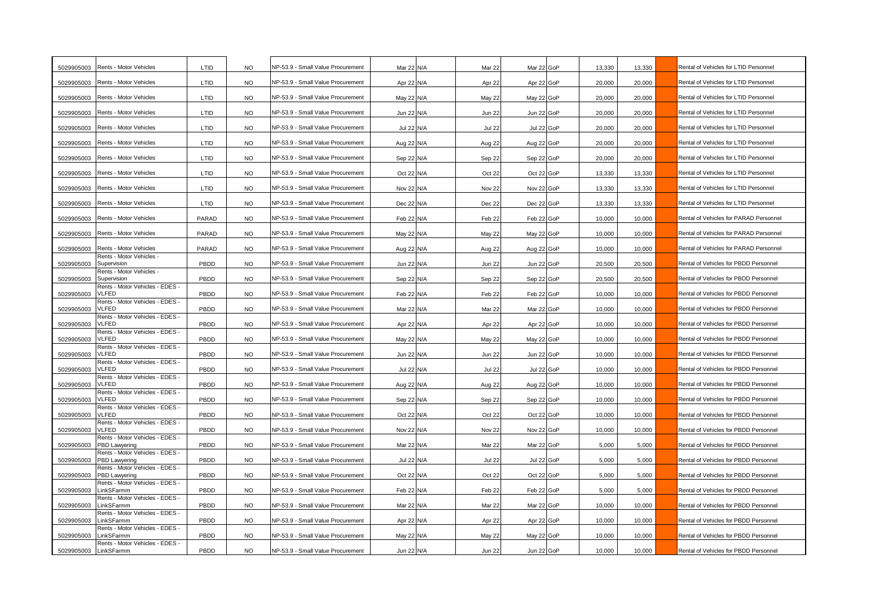| 5029905003            | Rents - Motor Vehicles                                  | LTID  | <b>NO</b> | NP-53.9 - Small Value Procurement        | Mar 22 N/A    |     | Mar 22            | Mar 22 GoP | 13,330 | 13,330 | Rental of Vehicles for LTID Personnel  |
|-----------------------|---------------------------------------------------------|-------|-----------|------------------------------------------|---------------|-----|-------------------|------------|--------|--------|----------------------------------------|
|                       | 5029905003 Rents - Motor Vehicles                       | LTID  | <b>NO</b> | VP-53.9 - Small Value Procurement        | Apr 22 N/A    |     | Apr 22            | Apr 22 GoP | 20,000 | 20,000 | Rental of Vehicles for LTID Personnel  |
| 5029905003            | Rents - Motor Vehicles                                  | LTID  | <b>NO</b> | NP-53.9 - Small Value Procurement        | May 22 N/A    |     | May 22            | May 22 GoP | 20,000 | 20,000 | Rental of Vehicles for LTID Personnel  |
| 5029905003            | Rents - Motor Vehicles                                  | LTID  | <b>NO</b> | NP-53.9 - Small Value Procurement        | Jun 22 N/A    |     | <b>Jun 22</b>     | Jun 22 GoP | 20,000 | 20,000 | Rental of Vehicles for LTID Personnel  |
|                       | 5029905003 Rents - Motor Vehicles                       | LTID  | NO.       | NP-53.9 - Small Value Procurement        | <b>Jul 22</b> | N/A | <b>Jul 22</b>     | Jul 22 GoP | 20,000 | 20,000 | Rental of Vehicles for LTID Personnel  |
|                       | 5029905003 Rents - Motor Vehicles                       | LTID  | NO.       | NP-53.9 - Small Value Procurement        | Aug 22 N/A    |     | Aug 22            | Aug 22 GoP | 20,000 | 20,000 | Rental of Vehicles for LTID Personnel  |
| 5029905003            | Rents - Motor Vehicles                                  | LTID  | <b>NO</b> | NP-53.9 - Small Value Procurement        | Sep 22 N/A    |     | Sep 22            | Sep 22 GoP | 20,000 | 20,000 | Rental of Vehicles for LTID Personnel  |
|                       | 5029905003 Rents - Motor Vehicles                       | LTID  | <b>NO</b> | NP-53.9 - Small Value Procurement        | Oct 22 N/A    |     | Oct 22            | Oct 22 GoP | 13,330 | 13,330 | Rental of Vehicles for LTID Personnel  |
|                       | 5029905003 Rents - Motor Vehicles                       | LTID  | <b>NO</b> | NP-53.9 - Small Value Procurement        | Nov 22 N/A    |     | Nov 22            | Nov 22 GoP | 13,330 | 13,330 | Rental of Vehicles for LTID Personnel  |
|                       | 5029905003 Rents - Motor Vehicles                       | LTID  | <b>NO</b> | NP-53.9 - Small Value Procurement        | Dec 22 N/A    |     | Dec 22            | Dec 22 GoP | 13,330 | 13,330 | Rental of Vehicles for LTID Personnel  |
| 5029905003            | Rents - Motor Vehicles                                  | PARAD | <b>NO</b> | NP-53.9 - Small Value Procurement        | Feb 22        | N/A | Feb 22            | Feb 22 GoP | 10,000 | 10.000 | Rental of Vehicles for PARAD Personnel |
|                       | 5029905003 Rents - Motor Vehicles                       | PARAD | <b>NO</b> | NP-53.9 - Small Value Procurement        | May 22 N/A    |     | <b>May 22</b>     | May 22 GoP | 10,000 | 10,000 | Rental of Vehicles for PARAD Personnel |
| 5029905003            | Rents - Motor Vehicles                                  | PARAD | <b>NO</b> | NP-53.9 - Small Value Procurement        | Aug 22 N/A    |     | Aug 22            | Aug 22 GoP | 10,000 | 10,000 | Rental of Vehicles for PARAD Personnel |
| 5029905003            | Rents - Motor Vehicles -<br>Supervision                 | PBDD  | <b>NO</b> | NP-53.9 - Small Value Procurement        | Jun 22 N/A    |     | <b>Jun 22</b>     | Jun 22 GoP | 20,500 | 20,500 | Rental of Vehicles for PBDD Personnel  |
| 5029905003            | Rents - Motor Vehicles -<br>Supervision                 | PBDD  | <b>NO</b> | NP-53.9 - Small Value Procurement        | Sep 22 N/A    |     | Sep 22            | Sep 22 GoP | 20,500 | 20,500 | Rental of Vehicles for PBDD Personnel  |
| 5029905003            | Rents - Motor Vehicles - EDES -<br><b>VLFED</b>         | PBDD  | <b>NO</b> | NP-53.9 - Small Value Procurement        | Feb 22 N/A    |     | Feb <sub>22</sub> | Feb 22 GoP | 10,000 | 10.000 | Rental of Vehicles for PBDD Personnel  |
| 5029905003            | Rents - Motor Vehicles - EDES -<br>VLFED                | PBDD  | <b>NO</b> | NP-53.9 - Small Value Procurement        | Mar 22 N/A    |     | Mar 22            | Mar 22 GoP | 10,000 | 10,000 | Rental of Vehicles for PBDD Personnel  |
| 5029905003            | Rents - Motor Vehicles - EDES -<br>VLFED                | PBDD  | <b>NO</b> | NP-53.9 - Small Value Procurement        | Apr 22 N/A    |     | Apr 22            | Apr 22 GoP | 10,000 | 10,000 | Rental of Vehicles for PBDD Personnel  |
| 5029905003            | Rents - Motor Vehicles - EDES -<br>VLFED                | PBDD  | <b>NO</b> | NP-53.9 - Small Value Procurement        | May 22 N/A    |     | <b>May 22</b>     | May 22 GoP | 10,000 | 10,000 | Rental of Vehicles for PBDD Personnel  |
| 5029905003            | Rents - Motor Vehicles - EDES -<br>VLFED                | PBDD  | <b>NO</b> | NP-53.9 - Small Value Procurement        | Jun 22 N/A    |     | <b>Jun 22</b>     | Jun 22 GoP | 10,000 | 10,000 | Rental of Vehicles for PBDD Personnel  |
| 5029905003            | Rents - Motor Vehicles - EDES -<br>VLFED                | PBDD  | <b>NO</b> | NP-53.9 - Small Value Procurement        | Jul 22 N/A    |     | <b>Jul 22</b>     | Jul 22 GoP | 10,000 | 10,000 | Rental of Vehicles for PBDD Personnel  |
| 5029905003            | Rents - Motor Vehicles - EDES -<br>VLFED                | PBDD  | <b>NO</b> | NP-53.9 - Small Value Procurement        | Aug 22 N/A    |     | Aug 22            | Aug 22 GoP | 10,000 | 10,000 | Rental of Vehicles for PBDD Personnel  |
| 5029905003            | Rents - Motor Vehicles - EDES -<br>VLFED                | PBDD  | <b>NO</b> | NP-53.9 - Small Value Procurement        | Sep 22 N/A    |     | Sep 22            | Sep 22 GoP | 10,000 | 10,000 | Rental of Vehicles for PBDD Personnel  |
| 5029905003            | Rents - Motor Vehicles - EDES -<br>VLFED                | PBDD  | <b>NO</b> | NP-53.9 - Small Value Procurement        | Oct 22 N/A    |     | Oct 22            | Oct 22 GoP | 10,000 | 10,000 | Rental of Vehicles for PBDD Personnel  |
| 5029905003            | Rents - Motor Vehicles - EDES -<br>VLFED                | PBDD  | <b>NO</b> | NP-53.9 - Small Value Procurement        | Nov 22 N/A    |     | <b>Nov 22</b>     | Nov 22 GoP | 10,000 | 10,000 | Rental of Vehicles for PBDD Personnel  |
| 5029905003            | Rents - Motor Vehicles - EDES -<br><b>PBD Lawyering</b> | PBDD  | <b>NO</b> | NP-53.9 - Small Value Procurement        | Mar 22 N/A    |     | Mar 22            | Mar 22 GoP | 5,000  | 5,000  | Rental of Vehicles for PBDD Personnel  |
| 5029905003            | Rents - Motor Vehicles - EDES -<br>PBD Lawyering        | PBDD  | <b>NO</b> | NP-53.9 - Small Value Procurement        | Jul 22 N/A    |     | <b>Jul 22</b>     | Jul 22 GoP | 5,000  | 5,000  | Rental of Vehicles for PBDD Personnel  |
| 5029905003            | Rents - Motor Vehicles - EDES -<br>PBD Lawyering        | PBDD  | <b>NO</b> | NP-53.9 - Small Value Procurement        | Oct 22 N/A    |     | Oct 22            | Oct 22 GoP | 5,000  | 5,000  | Rental of Vehicles for PBDD Personnel  |
| 5029905003            | Rents - Motor Vehicles - EDES -<br>LinkSFarmm           | PBDD  | NO.       | <b>VP-53.9 - Small Value Procurement</b> | Feb 22 N/A    |     | Feb 22            | Feb 22 GoP | 5,000  | 5,000  | Rental of Vehicles for PBDD Personnel  |
| 5029905003            | Rents - Motor Vehicles - EDES -<br>.inkSFarmm           | PBDD  | <b>NO</b> | NP-53.9 - Small Value Procurement        | Mar 22 N/A    |     | Mar 22            | Mar 22 GoP | 10,000 | 10,000 | Rental of Vehicles for PBDD Personnel  |
| 5029905003            | Rents - Motor Vehicles - EDES -<br>LinkSFarmm           | PBDD  | <b>NO</b> | NP-53.9 - Small Value Procurement        | Apr 22 N/A    |     | Apr 22            | Apr 22 GoP | 10,000 | 10,000 | Rental of Vehicles for PBDD Personnel  |
| 5029905003            | Rents - Motor Vehicles - EDES -<br>.inkSFarmm           | PBDD  | <b>NO</b> | NP-53.9 - Small Value Procurement        | May 22 N/A    |     | May 22            | May 22 GoP | 10,000 | 10,000 | Rental of Vehicles for PBDD Personnel  |
| 5029905003 LinkSFarmm | Rents - Motor Vehicles - EDES -                         | PBDD  | NO.       | NP-53.9 - Small Value Procurement        | Jun 22 N/A    |     | <b>Jun 22</b>     | Jun 22 GoP | 10,000 | 10,000 | Rental of Vehicles for PBDD Personnel  |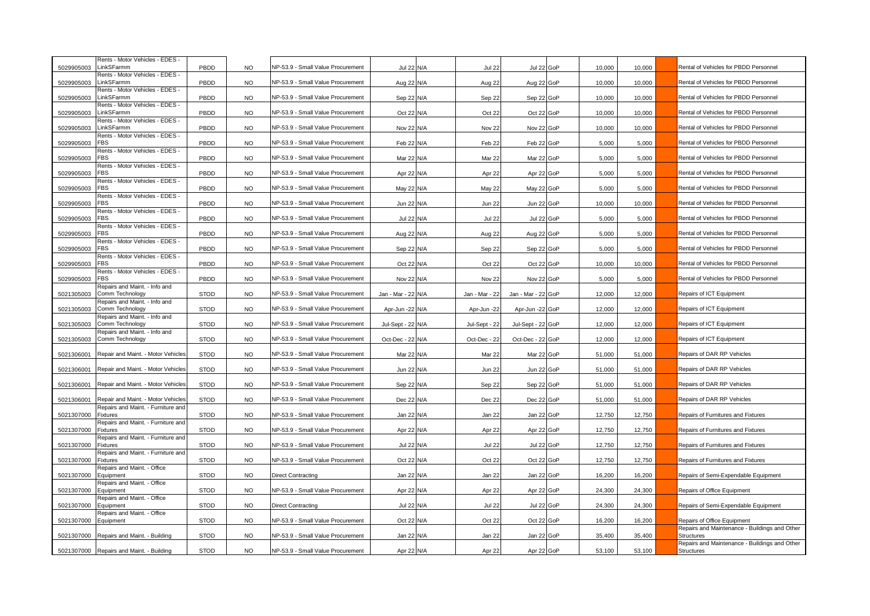|            | Rents - Motor Vehicles - EDES -                       |             |           |                                   |                    |                   |                    |     |        |        |                                                             |
|------------|-------------------------------------------------------|-------------|-----------|-----------------------------------|--------------------|-------------------|--------------------|-----|--------|--------|-------------------------------------------------------------|
| 5029905003 | .inkSFarmm                                            | PBDD        | NO.       | NP-53.9 - Small Value Procurement | Jul 22 N/A         | <b>Jul 22</b>     | Jul 22 GoP         |     | 10.000 | 10.000 | Rental of Vehicles for PBDD Personnel                       |
|            | Rents - Motor Vehicles - EDES -                       |             |           |                                   |                    |                   |                    |     |        |        |                                                             |
| 5029905003 | LinkSFarmm<br>Rents - Motor Vehicles - EDES -         | PBDD        | <b>NO</b> | NP-53.9 - Small Value Procurement | Aug 22 N/A         | Aug 22            | Aug 22 GoP         |     | 10.000 | 10.000 | Rental of Vehicles for PBDD Personnel                       |
| 5029905003 | .inkSFarmm                                            | PBDD        | <b>NO</b> | NP-53.9 - Small Value Procurement | Sep 22 N/A         | Sep 22            | Sep 22 GoP         |     | 10,000 | 10.000 | Rental of Vehicles for PBDD Personnel                       |
|            | Rents - Motor Vehicles - EDES -                       |             |           |                                   |                    |                   |                    |     |        |        |                                                             |
| 5029905003 | LinkSFarmm<br>Rents - Motor Vehicles - EDES -         | PBDD        | <b>NO</b> | NP-53.9 - Small Value Procurement | Oct 22 N/A         | Oct 22            | Oct 22 GoP         |     | 10.000 | 10.000 | Rental of Vehicles for PBDD Personnel                       |
| 5029905003 | .inkSFarmm                                            | PBDD        | <b>NO</b> | NP-53.9 - Small Value Procurement | Nov 22 N/A         | Nov <sub>22</sub> | Nov 22 GoP         |     | 10,000 | 10,000 | Rental of Vehicles for PBDD Personnel                       |
|            | Rents - Motor Vehicles - EDES -                       |             |           |                                   |                    |                   |                    |     |        |        |                                                             |
| 5029905003 | FBS<br>Rents - Motor Vehicles - EDES -                | PBDD        | <b>NO</b> | NP-53.9 - Small Value Procurement | Feb 22 N/A         | Feb 22            | Feb 22 GoP         |     | 5,000  | 5,000  | Rental of Vehicles for PBDD Personnel                       |
| 5029905003 | FBS                                                   | PBDD        | <b>NO</b> | NP-53.9 - Small Value Procurement | Mar 22 N/A         | Mar 22            | Mar 22 GoP         |     | 5,000  | 5,000  | Rental of Vehicles for PBDD Personnel                       |
|            | Rents - Motor Vehicles - EDES -                       |             |           |                                   |                    |                   |                    |     |        |        |                                                             |
| 5029905003 | <b>FBS</b><br>Rents - Motor Vehicles - EDES -         | PBDD        | <b>NO</b> | NP-53.9 - Small Value Procurement | Apr 22 N/A         | Apr 22            | Apr 22 GoP         |     | 5,000  | 5,000  | Rental of Vehicles for PBDD Personnel                       |
| 5029905003 | <b>FBS</b>                                            | PBDD        | <b>NO</b> | NP-53.9 - Small Value Procurement | May 22 N/A         | May 22            | May 22 GoP         |     | 5,000  | 5,000  | Rental of Vehicles for PBDD Personnel                       |
|            | Rents - Motor Vehicles - EDES -                       |             |           |                                   |                    |                   |                    |     |        |        |                                                             |
| 5029905003 | <b>FBS</b><br>Rents - Motor Vehicles - EDES -         | PBDD        | <b>NO</b> | NP-53.9 - Small Value Procurement | Jun 22 N/A         | Jun 22            | Jun 22 GoP         |     | 10,000 | 10,000 | Rental of Vehicles for PBDD Personnel                       |
| 5029905003 | FBS                                                   | PBDD        | <b>NO</b> | NP-53.9 - Small Value Procurement | Jul 22 N/A         | <b>Jul 22</b>     | Jul 22 GoP         |     | 5,000  | 5,000  | Rental of Vehicles for PBDD Personnel                       |
|            | Rents - Motor Vehicles - EDES -                       |             |           |                                   |                    |                   |                    |     |        |        |                                                             |
| 5029905003 | <b>FBS</b><br>Rents - Motor Vehicles - EDES -         | PBDD        | <b>NO</b> | NP-53.9 - Small Value Procurement | Aug 22 N/A         | Aug 22            | Aug 22 GoP         |     | 5,000  | 5,000  | Rental of Vehicles for PBDD Personnel                       |
| 5029905003 | <b>FBS</b>                                            | PBDD        | <b>NO</b> | NP-53.9 - Small Value Procurement | Sep 22 N/A         | Sep 22            | Sep 22 GoP         |     | 5,000  | 5,000  | Rental of Vehicles for PBDD Personnel                       |
|            | Rents - Motor Vehicles - EDES -                       |             |           |                                   |                    |                   |                    |     |        |        |                                                             |
| 5029905003 | <b>FBS</b><br>Rents - Motor Vehicles - EDES -         | PBDD        | <b>NO</b> | NP-53.9 - Small Value Procurement | Oct 22 N/A         | Oct 22            | Oct 22 GoP         |     | 10,000 | 10,000 | Rental of Vehicles for PBDD Personnel                       |
| 5029905003 | <b>FBS</b>                                            | PBDD        | <b>NO</b> | NP-53.9 - Small Value Procurement | Nov 22 N/A         | Nov 22            | Nov 22 GoP         |     | 5,000  | 5,000  | Rental of Vehicles for PBDD Personnel                       |
|            | Repairs and Maint. - Info and                         |             |           |                                   |                    |                   |                    |     |        |        |                                                             |
| 5021305003 | Comm Technology<br>Repairs and Maint. - Info and      | <b>STOD</b> | <b>NO</b> | NP-53.9 - Small Value Procurement | Jan - Mar - 22 N/A | Jan - Mar - 22    | Jan - Mar - 22 GoP |     | 12,000 | 12,000 | Repairs of ICT Equipment                                    |
|            | 5021305003 Comm Technology                            | <b>STOD</b> | <b>NO</b> | NP-53.9 - Small Value Procurement | Apr-Jun -22 N/A    | Apr-Jun -22       | Apr-Jun -22 GoP    |     | 12,000 | 12,000 | Repairs of ICT Equipment                                    |
|            | Repairs and Maint. - Info and                         |             |           |                                   |                    |                   |                    |     |        |        |                                                             |
| 5021305003 | Comm Technology<br>Repairs and Maint. - Info and      | <b>STOD</b> | <b>NO</b> | NP-53.9 - Small Value Procurement | Jul-Sept - 22 N/A  | Jul-Sept - 22     | Jul-Sept - 22 GoP  |     | 12,000 | 12,000 | Repairs of ICT Equipment                                    |
|            | 5021305003 Comm Technology                            | <b>STOD</b> | <b>NO</b> | NP-53.9 - Small Value Procurement | Oct-Dec - 22 N/A   | Oct-Dec - 22      | Oct-Dec - 22 GoP   |     | 12,000 | 12,000 | Repairs of ICT Equipment                                    |
|            |                                                       |             |           |                                   |                    |                   |                    |     |        |        |                                                             |
| 5021306001 | Repair and Maint. - Motor Vehicles                    | <b>STOD</b> | <b>NO</b> | NP-53.9 - Small Value Procurement | Mar 22 N/A         | Mar 22            | Mar 22 GoP         |     | 51,000 | 51,000 | Repairs of DAR RP Vehicles                                  |
|            | 5021306001 Repair and Maint. - Motor Vehicles         | <b>STOD</b> | <b>NO</b> | NP-53.9 - Small Value Procurement | Jun 22 N/A         | <b>Jun 22</b>     | Jun 22 GoP         |     | 51,000 | 51,000 | Repairs of DAR RP Vehicles                                  |
|            |                                                       |             |           |                                   |                    |                   |                    |     |        |        |                                                             |
| 5021306001 | Repair and Maint. - Motor Vehicles                    | <b>STOD</b> | <b>NO</b> | NP-53.9 - Small Value Procurement | Sep 22 N/A         | Sep 22            | Sep 22             | GoP | 51,000 | 51,000 | Repairs of DAR RP Vehicles                                  |
| 5021306001 | Repair and Maint. - Motor Vehicles                    | <b>STOD</b> | NO.       | NP-53.9 - Small Value Procurement | Dec 22 N/A         | Dec 22            | Dec 22 GoP         |     | 51,000 | 51,000 | Repairs of DAR RP Vehicles                                  |
|            | Repairs and Maint. - Furniture and                    |             |           |                                   |                    |                   |                    |     |        |        |                                                             |
| 5021307000 | <b>Fixtures</b><br>Repairs and Maint. - Furniture and | <b>STOD</b> | <b>NO</b> | NP-53.9 - Small Value Procurement | Jan 22 N/A         | Jan 22            | Jan 22 GoP         |     | 12,750 | 12,750 | Repairs of Furnitures and Fixtures                          |
| 5021307000 | Fixtures                                              | <b>STOD</b> | NO.       | NP-53.9 - Small Value Procurement | Apr 22 N/A         | Apr 22            | Apr 22 GoP         |     | 12,750 | 12,750 | Repairs of Furnitures and Fixtures                          |
|            | Repairs and Maint. - Furniture and                    |             |           |                                   |                    |                   |                    |     |        |        |                                                             |
| 5021307000 | Fixtures<br>Repairs and Maint. - Furniture and        | <b>STOD</b> | <b>NO</b> | NP-53.9 - Small Value Procurement | Jul 22 N/A         | <b>Jul 22</b>     | <b>Jul 22</b>      | GoP | 12,750 | 12,750 | Repairs of Furnitures and Fixtures                          |
| 5021307000 | Fixtures                                              | <b>STOD</b> | NO.       | NP-53.9 - Small Value Procurement | Oct 22 N/A         | Oct 22            | Oct 22 GoP         |     | 12,750 | 12,750 | Repairs of Furnitures and Fixtures                          |
|            | Repairs and Maint. - Office                           |             |           |                                   |                    |                   |                    |     |        |        |                                                             |
| 5021307000 | Eauipment<br>Repairs and Maint. - Office              | <b>STOD</b> | <b>NO</b> | Direct Contracting                | Jan 22 N/A         | Jan 22            | Jan 22 GoP         |     | 16,200 | 16,200 | Repairs of Semi-Expendable Equipment                        |
| 5021307000 | Equipment                                             | <b>STOD</b> | <b>NO</b> | NP-53.9 - Small Value Procurement | Apr 22 N/A         | Apr 22            | Apr 22 GoP         |     | 24,300 | 24,300 | Repairs of Office Equipment                                 |
|            | Repairs and Maint. - Office                           |             |           |                                   |                    |                   |                    |     |        |        |                                                             |
| 5021307000 | Equipment<br>Repairs and Maint. - Office              | <b>STOD</b> | <b>NO</b> | <b>Direct Contracting</b>         | Jul 22 N/A         | <b>Jul 22</b>     | Jul 22 GoP         |     | 24,300 | 24,300 | Repairs of Semi-Expendable Equipment                        |
| 5021307000 | Equipment                                             | <b>STOD</b> | <b>NO</b> | NP-53.9 - Small Value Procurement | Oct 22 N/A         | Oct 22            | Oct 22 GoP         |     | 16,200 | 16,200 | Repairs of Office Equipment                                 |
|            |                                                       |             |           |                                   |                    |                   |                    |     |        |        | Repairs and Maintenance - Buildings and Other               |
|            | 5021307000 Repairs and Maint. - Building              | <b>STOD</b> | <b>NO</b> | NP-53.9 - Small Value Procurement | Jan 22 N/A         | Jan 22            | Jan 22 GoP         |     | 35,400 | 35,400 | Structures<br>Repairs and Maintenance - Buildings and Other |
|            | 5021307000 Repairs and Maint. - Building              | <b>STOD</b> | <b>NO</b> | NP-53.9 - Small Value Procurement | Apr 22 N/A         | Apr 22            | Apr 22 GoP         |     | 53.100 | 53.100 | <b>Structures</b>                                           |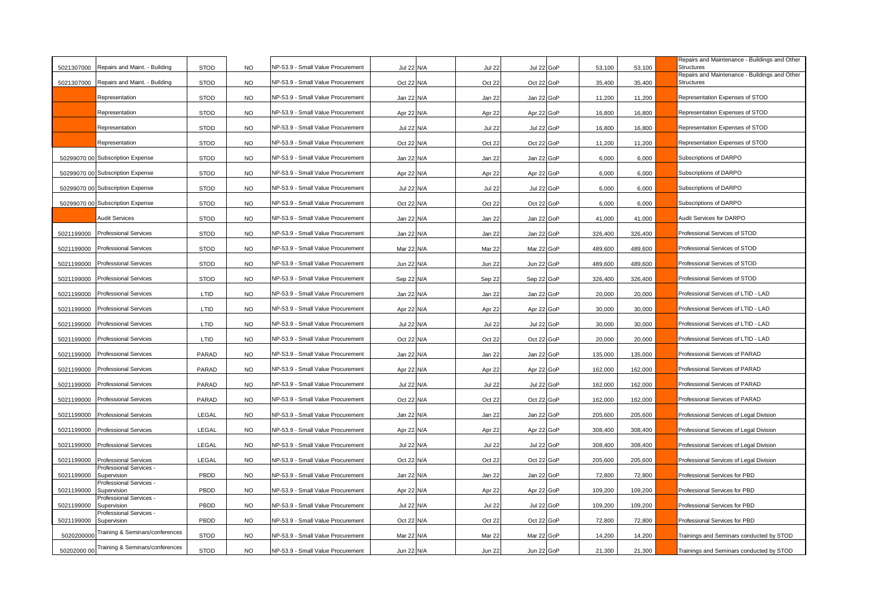| 5021307000 Repairs and Maint. - Building             | <b>STOD</b> | NO        | NP-53.9 - Small Value Procurement | Jul 22 N/A | <b>Jul 22</b> | Jul 22 GoP | 53,100  | 53,100  | Repairs and Maintenance - Buildings and Other<br>Structures        |
|------------------------------------------------------|-------------|-----------|-----------------------------------|------------|---------------|------------|---------|---------|--------------------------------------------------------------------|
| 5021307000 Repairs and Maint. - Building             | <b>STOD</b> | <b>NO</b> | NP-53.9 - Small Value Procurement | Oct 22 N/A | Oct 22        | Oct 22 GoP | 35,400  | 35,400  | Repairs and Maintenance - Buildings and Other<br><b>Structures</b> |
| Representation                                       | <b>STOD</b> | <b>NO</b> | NP-53.9 - Small Value Procurement | Jan 22 N/A | Jan 22        | Jan 22 GoP | 11,200  | 11,200  | Representation Expenses of STOD                                    |
| Representation                                       | <b>STOD</b> | <b>NO</b> | NP-53.9 - Small Value Procurement | Apr 22 N/A | Apr 22        | Apr 22 GoP | 16,800  | 16,800  | Representation Expenses of STOD                                    |
| Representation                                       | <b>STOD</b> | <b>NO</b> | NP-53.9 - Small Value Procurement | Jul 22 N/A | <b>Jul 22</b> | Jul 22 GoP | 16,800  | 16,800  | Representation Expenses of STOD                                    |
| Representation                                       | <b>STOD</b> | <b>NO</b> | NP-53.9 - Small Value Procurement | Oct 22 N/A | Oct 22        | Oct 22 GoP | 11,200  | 11,200  | Representation Expenses of STOD                                    |
| 50299070 00 Subscription Expense                     | <b>STOD</b> | <b>NO</b> | NP-53.9 - Small Value Procurement | Jan 22 N/A | Jan 22        | Jan 22 GoP | 6,000   | 6,000   | Subscriptions of DARPO                                             |
| 50299070 00 Subscription Expense                     | <b>STOD</b> | <b>NO</b> | NP-53.9 - Small Value Procurement | Apr 22 N/A | Apr 22        | Apr 22 GoP | 6.000   | 6.000   | Subscriptions of DARPO                                             |
| 50299070 00 Subscription Expense                     | <b>STOD</b> | <b>NO</b> | NP-53.9 - Small Value Procurement | Jul 22 N/A | <b>Jul 22</b> | Jul 22 GoP | 6,000   | 6,000   | Subscriptions of DARPO                                             |
| 50299070 00 Subscription Expense                     | <b>STOD</b> | <b>NO</b> | NP-53.9 - Small Value Procurement | Oct 22 N/A | Oct 22        | Oct 22 GoP | 6,000   | 6,000   | Subscriptions of DARPO                                             |
| Audit Services                                       | <b>STOD</b> | <b>NO</b> | NP-53.9 - Small Value Procurement | Jan 22 N/A | Jan 22        | Jan 22 GoP | 41,000  | 41,000  | Audit Services for DARPO                                           |
| 5021199000<br><b>Professional Services</b>           | <b>STOD</b> | <b>NO</b> | NP-53.9 - Small Value Procurement | Jan 22 N/A | Jan 22        | Jan 22 GoP | 326,400 | 326,400 | Professional Services of STOD                                      |
| 5021199000<br><b>Professional Services</b>           | <b>STOD</b> | <b>NO</b> | NP-53.9 - Small Value Procurement | Mar 22 N/A | Mar 22        | Mar 22 GoP | 489,600 | 489,600 | Professional Services of STOD                                      |
| <b>Professional Services</b><br>5021199000           | <b>STOD</b> | <b>NO</b> | NP-53.9 - Small Value Procurement | Jun 22 N/A | <b>Jun 22</b> | Jun 22 GoP | 489,600 | 489,600 | Professional Services of STOD                                      |
| 5021199000<br><b>Professional Services</b>           | <b>STOD</b> | <b>NO</b> | NP-53.9 - Small Value Procurement | Sep 22 N/A | Sep 22        | Sep 22 GoP | 326,400 | 326,400 | Professional Services of STOD                                      |
| <b>Professional Services</b><br>5021199000           | LTID        | <b>NO</b> | NP-53.9 - Small Value Procurement | Jan 22 N/A | Jan 22        | Jan 22 GoP | 20,000  | 20,000  | Professional Services of LTID - LAD                                |
| 5021199000<br><b>Professional Services</b>           | LTID        | <b>NO</b> | NP-53.9 - Small Value Procurement | Apr 22 N/A | Apr 22        | Apr 22 GoP | 30,000  | 30,000  | Professional Services of LTID - LAD                                |
| 5021199000<br><b>Professional Services</b>           | LTID        | <b>NO</b> | NP-53.9 - Small Value Procurement | Jul 22 N/A | Jul 22        | Jul 22 GoP | 30,000  | 30,000  | Professional Services of LTID - LAD                                |
| 5021199000<br><b>Professional Services</b>           | LTID        | <b>NO</b> | NP-53.9 - Small Value Procurement | Oct 22 N/A | Oct 22        | Oct 22 GoP | 20,000  | 20,000  | Professional Services of LTID - LAD                                |
| <b>Professional Services</b><br>5021199000           | PARAD       | <b>NO</b> | NP-53.9 - Small Value Procurement | Jan 22 N/A | Jan 22        | Jan 22 GoP | 135,000 | 135,000 | Professional Services of PARAD                                     |
| 5021199000<br><b>Professional Services</b>           | PARAD       | <b>NO</b> | NP-53.9 - Small Value Procurement | Apr 22 N/A | Apr 22        | Apr 22 GoP | 162,000 | 162,000 | Professional Services of PARAD                                     |
| <b>Professional Services</b><br>5021199000           | PARAD       | <b>NO</b> | NP-53.9 - Small Value Procurement | Jul 22 N/A | Jul 22        | Jul 22 GoP | 162,000 | 162,000 | Professional Services of PARAD                                     |
| <b>Professional Services</b><br>5021199000           | PARAD       | <b>NO</b> | NP-53.9 - Small Value Procurement | Oct 22 N/A | Oct 22        | Oct 22 GoP | 162,000 | 162,000 | Professional Services of PARAD                                     |
| 5021199000<br><b>Professional Services</b>           | LEGAL       | <b>NO</b> | NP-53.9 - Small Value Procurement | Jan 22 N/A | Jan 22        | Jan 22 GoP | 205,600 | 205,600 | Professional Services of Legal Division                            |
| 5021199000<br><b>Professional Services</b>           | LEGAL       | <b>NO</b> | NP-53.9 - Small Value Procurement | Apr 22 N/A | Apr 22        | Apr 22 GoP | 308,400 | 308,400 | Professional Services of Legal Division                            |
| 5021199000<br><b>Professional Services</b>           | LEGAL       | <b>NO</b> | NP-53.9 - Small Value Procurement | Jul 22 N/A | <b>Jul 22</b> | Jul 22 GoP | 308,400 | 308,400 | Professional Services of Legal Division                            |
| 5021199000<br><b>Professional Services</b>           | LEGAL       | <b>NO</b> | NP-53.9 - Small Value Procurement | Oct 22 N/A | Oct 22        | Oct 22 GoP | 205,600 | 205,600 | Professional Services of Legal Division                            |
| Professional Services -<br>5021199000<br>Supervision | PBDD        | <b>NO</b> | NP-53.9 - Small Value Procurement | Jan 22 N/A | Jan 22        | Jan 22 GoP | 72,800  | 72,800  | Professional Services for PBD                                      |
| Professional Services -<br>5021199000<br>Supervision | PBDD        | <b>NO</b> | NP-53.9 - Small Value Procurement | Apr 22 N/A | Apr 22        | Apr 22 GoP | 109,200 | 109,200 | Professional Services for PBD                                      |
| Professional Services -<br>5021199000<br>Supervision | PBDD        | <b>NO</b> | NP-53.9 - Small Value Procurement | Jul 22 N/A | <b>Jul 22</b> | Jul 22 GoP | 109,200 | 109,200 | Professional Services for PBD                                      |
| Professional Services -<br>5021199000<br>Supervision | PBDD        | <b>NO</b> | NP-53.9 - Small Value Procurement | Oct 22 N/A | Oct 22        | Oct 22 GoP | 72,800  | 72,800  | Professional Services for PBD                                      |
| Training & Seminars/conferences<br>5020200000        | <b>STOD</b> | <b>NO</b> | NP-53.9 - Small Value Procurement | Mar 22 N/A | Mar 22        | Mar 22 GoP | 14,200  | 14,200  | Trainings and Seminars conducted by STOD                           |
| Training & Seminars/conferences<br>50202000 00       | <b>STOD</b> | <b>NO</b> | NP-53.9 - Small Value Procurement | Jun 22 N/A | <b>Jun 22</b> | Jun 22 GoP | 21,300  | 21,300  | Trainings and Seminars conducted by STOD                           |
|                                                      |             |           |                                   |            |               |            |         |         |                                                                    |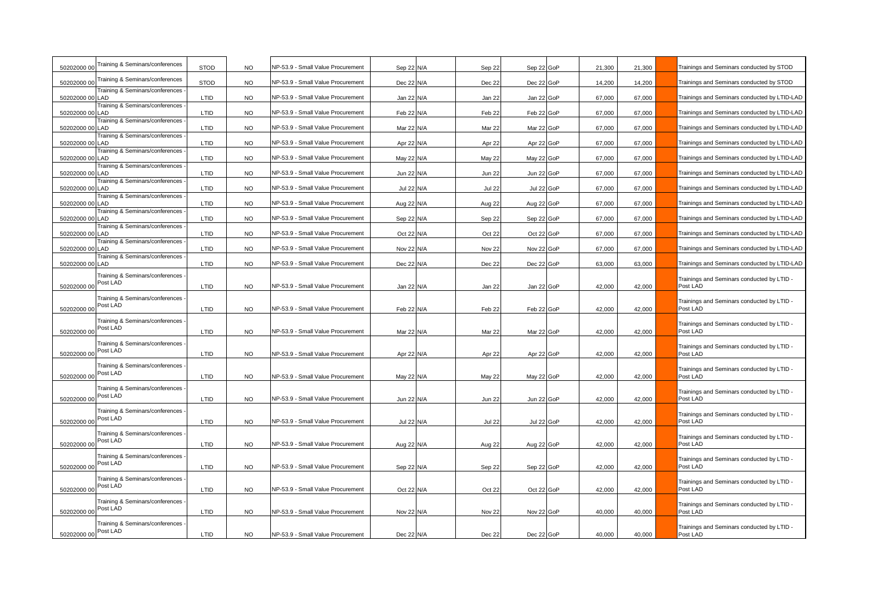| 50202000 00                | Training & Seminars/conferences             | <b>STOD</b> | <b>NO</b>              | NP-53.9 - Small Value Procurement | Sep 22 N/A               | Sep 22            | Sep 22 GoP               | 21,300           | 21,300           | Trainings and Seminars conducted by STOD               |
|----------------------------|---------------------------------------------|-------------|------------------------|-----------------------------------|--------------------------|-------------------|--------------------------|------------------|------------------|--------------------------------------------------------|
| 50202000 00                | Training & Seminars/conferences             | <b>STOD</b> | <b>NO</b>              | NP-53.9 - Small Value Procurement | Dec 22 N/A               | Dec 22            | Dec 22 GoP               | 14,200           | 14,200           | Trainings and Seminars conducted by STOD               |
| 50202000 00 LAD            | Training & Seminars/conferences             | LTID        | <b>NO</b>              | NP-53.9 - Small Value Procurement | Jan 22 N/A               | Jan 22            | Jan 22 GoP               | 67,000           | 67,000           | Trainings and Seminars conducted by LTID-LAD           |
| 50202000 00 LAD            | Training & Seminars/conferences             | LTID        | <b>NO</b>              | NP-53.9 - Small Value Procurement | Feb 22 N/A               | Feb 22            | Feb 22 GoP               | 67,000           | 67,000           | Trainings and Seminars conducted by LTID-LAD           |
| 50202000 00 LAD            | <b>Training &amp; Seminars/conferences</b>  | LTID        | <b>NO</b>              | NP-53.9 - Small Value Procurement | Mar 22 N/A               | Mar 22            | Mar 22 GoP               | 67,000           | 67,000           | Trainings and Seminars conducted by LTID-LAD           |
| 50202000 00 LAD            | Training & Seminars/conferences             | LTID        | <b>NO</b>              | NP-53.9 - Small Value Procurement | Apr 22 N/A               | Apr 22            | Apr 22 GoP               | 67,000           | 67,000           | Trainings and Seminars conducted by LTID-LAD           |
| 50202000 00 LAD            | Training & Seminars/conferences             | LTID        | <b>NO</b>              | NP-53.9 - Small Value Procurement | May 22 N/A               | May 22            | May 22 GoP               | 67,000           | 67,000           | Trainings and Seminars conducted by LTID-LAD           |
| 50202000 00 LAD            | Training & Seminars/conferences             | LTID        | <b>NO</b>              | NP-53.9 - Small Value Procurement | Jun 22 N/A               | Jun 22            | Jun 22 GoP               | 67,000           | 67,000           | Trainings and Seminars conducted by LTID-LAD           |
| 50202000 00 LAD            | Training & Seminars/conferences             | LTID        | <b>NO</b>              | NP-53.9 - Small Value Procurement | Jul 22 N/A               | Jul 22            | Jul 22 GoP               | 67,000           | 67,000           | Trainings and Seminars conducted by LTID-LAD           |
| 50202000 00 LAD            | Training & Seminars/conferences             | LTID        | NO.                    | NP-53.9 - Small Value Procurement | Aug 22 N/A               | Aug 22            | Aug 22 GoP               | 67,000           | 67,000           | Trainings and Seminars conducted by LTID-LAD           |
| 50202000 00 LAD            | Training & Seminars/conferences             | LTID        | <b>NO</b>              | NP-53.9 - Small Value Procurement | Sep 22 N/A               | Sep 22            | Sep 22 GoP               | 67,000           | 67,000           | Trainings and Seminars conducted by LTID-LAD           |
| 50202000 00 LAD            | Training & Seminars/conferences             | LTID        | <b>NO</b>              | NP-53.9 - Small Value Procurement | Oct 22 N/A               | Oct 22            | Oct 22 GoP               | 67,000           | 67,000           | Trainings and Seminars conducted by LTID-LAD           |
| 50202000 00 LAD            | Training & Seminars/conferences             | LTID        | <b>NO</b>              | NP-53.9 - Small Value Procurement | Nov 22 N/A               | Nov <sub>22</sub> | Nov 22 GoP               | 67,000           | 67,000           | Trainings and Seminars conducted by LTID-LAD           |
| 50202000 00 LAD            | Training & Seminars/conferences             | LTID        | <b>NO</b>              | NP-53.9 - Small Value Procurement | Dec 22 N/A               | Dec 22            | Dec 22 GoP               | 63,000           | 63,000           | Trainings and Seminars conducted by LTID-LAD           |
| 50202000 00                | Training & Seminars/conferences<br>Post LAD | LTID        | <b>NO</b>              | NP-53.9 - Small Value Procurement | Jan 22 N/A               | Jan 22            | Jan 22 GoP               | 42,000           | 42,000           | Trainings and Seminars conducted by LTID -<br>Post LAD |
| 50202000 00                | Training & Seminars/conferences<br>Post LAD | LTID        | <b>NO</b>              | NP-53.9 - Small Value Procurement | Feb 22 N/A               | Feb 22            | Feb 22 GoP               | 42,000           | 42,000           | Trainings and Seminars conducted by LTID -<br>Post LAD |
| 50202000 00                | Training & Seminars/conferences<br>Post LAD | LTID        | <b>NO</b>              | NP-53.9 - Small Value Procurement | Mar 22 N/A               | Mar 22            | Mar 22 GoP               | 42,000           | 42,000           | Trainings and Seminars conducted by LTID -<br>Post LAD |
| 50202000 00                | Training & Seminars/conferences<br>Post LAD | LTID        | <b>NO</b>              | NP-53.9 - Small Value Procurement | Apr 22 N/A               | Apr 22            | Apr 22 GoP               | 42,000           | 42,000           | Trainings and Seminars conducted by LTID -<br>Post LAD |
| 50202000 00                | Training & Seminars/conferences<br>Post LAD | LTID        | <b>NO</b>              | NP-53.9 - Small Value Procurement | May 22 N/A               | May 22            | May 22 GoP               | 42,000           | 42,000           | Trainings and Seminars conducted by LTID -<br>Post LAD |
| 50202000 00                | Training & Seminars/conferences<br>Post LAD | LTID        | <b>NO</b>              | NP-53.9 - Small Value Procurement | Jun 22 N/A               | <b>Jun 22</b>     | Jun 22 GoP               | 42,000           | 42,000           | Trainings and Seminars conducted by LTID -<br>Post LAD |
| 50202000 00                | Training & Seminars/conferences<br>Post LAD | LTID        | NO.                    | NP-53.9 - Small Value Procurement | Jul 22 N/A               | Jul 22            | Jul 22 GoP               | 42.000           | 42,000           | Trainings and Seminars conducted by LTID -<br>Post LAD |
| 50202000 00                | Training & Seminars/conferences<br>Post LAD | LTID        | <b>NO</b>              | NP-53.9 - Small Value Procurement | Aug 22 N/A               | Aug 22            | Aug 22 GoP               | 42,000           | 42,000           | Trainings and Seminars conducted by LTID -<br>Post LAD |
|                            | Training & Seminars/conferences<br>Post LAD | LTID        |                        | NP-53.9 - Small Value Procurement |                          |                   |                          |                  |                  | Trainings and Seminars conducted by LTID -<br>Post LAD |
| 50202000 00<br>50202000 00 | Training & Seminars/conferences<br>Post LAD | LTID        | <b>NO</b><br><b>NO</b> | NP-53.9 - Small Value Procurement | Sep 22 N/A<br>Oct 22 N/A | Sep 22<br>Oct 22  | Sep 22 GoP<br>Oct 22 GoP | 42,000<br>42,000 | 42,000<br>42,000 | Trainings and Seminars conducted by LTID -<br>Post LAD |
| 50202000 00                | Training & Seminars/conferences<br>Post LAD | LTID        | <b>NO</b>              | NP-53.9 - Small Value Procurement | Nov 22 N/A               | Nov <sub>22</sub> | Nov 22 GoP               | 40,000           | 40,000           | Trainings and Seminars conducted by LTID -<br>Post LAD |
| 50202000 00                | Training & Seminars/conferences<br>Post LAD | LTID        | <b>NO</b>              | NP-53.9 - Small Value Procurement | Dec 22 N/A               | Dec 22            | Dec 22 GoP               | 40,000           | 40,000           | Trainings and Seminars conducted by LTID -<br>Post LAD |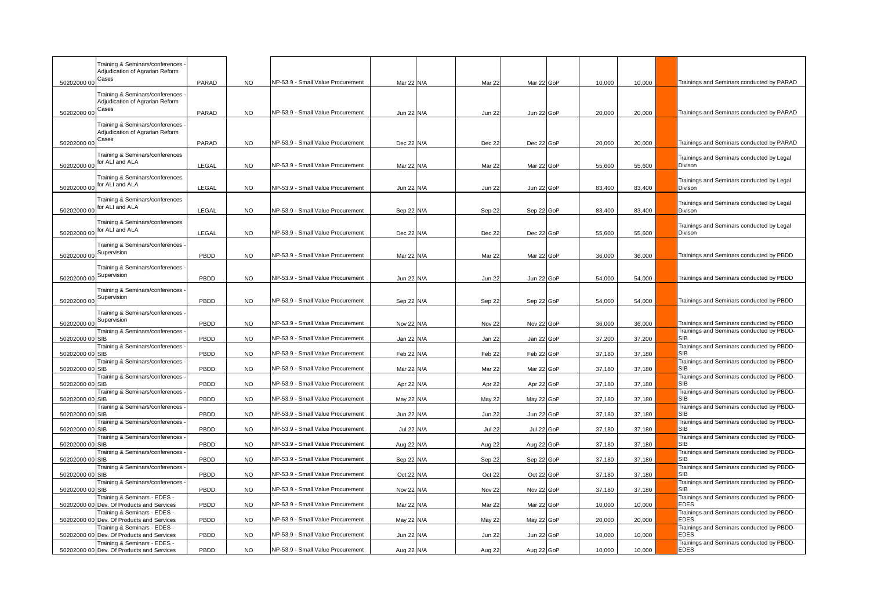| 50202000 00     | Training & Seminars/conferences<br>Adjudication of Agrarian Reform<br>Cases | PARAD | <b>NO</b> | NP-53.9 - Small Value Procurement | Mar 22 N/A | Mar 22            | Mar 22 GoP | 10,000 | 10,000 | Trainings and Seminars conducted by PARAD                                                            |
|-----------------|-----------------------------------------------------------------------------|-------|-----------|-----------------------------------|------------|-------------------|------------|--------|--------|------------------------------------------------------------------------------------------------------|
|                 | Training & Seminars/conferences<br>Adjudication of Agrarian Reform          |       |           |                                   |            |                   |            |        |        |                                                                                                      |
| 50202000 00     | Cases                                                                       | PARAD | NO.       | NP-53.9 - Small Value Procurement | Jun 22 N/A | <b>Jun 22</b>     | Jun 22 GoP | 20,000 | 20,000 | Trainings and Seminars conducted by PARAD                                                            |
|                 | Training & Seminars/conferences<br>Adjudication of Agrarian Reform<br>Cases |       |           |                                   |            |                   |            |        |        |                                                                                                      |
| 50202000 00     |                                                                             | PARAD | NO.       | NP-53.9 - Small Value Procurement | Dec 22 N/A | Dec 22            | Dec 22 GoP | 20,000 | 20,000 | Trainings and Seminars conducted by PARAD                                                            |
| 50202000 00     | Training & Seminars/conferences<br>for ALI and ALA                          | LEGAL | <b>NO</b> | NP-53.9 - Small Value Procurement | Mar 22 N/A | Mar 22            | Mar 22 GoP | 55,600 | 55,600 | Trainings and Seminars conducted by Legal<br>Divison                                                 |
| 50202000 00     | Training & Seminars/conferences<br>for ALI and ALA                          | LEGAL | <b>NO</b> | NP-53.9 - Small Value Procurement | Jun 22 N/A | Jun 22            | Jun 22 GoP | 83,400 | 83,400 | Trainings and Seminars conducted by Legal<br>Divison                                                 |
| 50202000 00     | Training & Seminars/conferences<br>for ALI and ALA                          | LEGAL | <b>NO</b> | NP-53.9 - Small Value Procurement | Sep 22 N/A | Sep 22            | Sep 22 GoP | 83,400 | 83,400 | Trainings and Seminars conducted by Legal<br>Divison                                                 |
| 50202000 00     | Training & Seminars/conferences<br>for ALI and ALA                          | LEGAL | <b>NO</b> | NP-53.9 - Small Value Procurement | Dec 22 N/A | Dec 22            | Dec 22 GoP | 55,600 | 55,600 | Trainings and Seminars conducted by Legal<br>Divison                                                 |
| 50202000 00     | Training & Seminars/conferences<br>Supervision                              | PBDD  | <b>NO</b> | NP-53.9 - Small Value Procurement | Mar 22 N/A | Mar 22            | Mar 22 GoP | 36,000 | 36,000 | Trainings and Seminars conducted by PBDD                                                             |
| 50202000 00     | Training & Seminars/conferences<br>Supervision                              | PBDD  | <b>NO</b> | NP-53.9 - Small Value Procurement | Jun 22 N/A | <b>Jun 22</b>     | Jun 22 GoP | 54,000 | 54,000 | Trainings and Seminars conducted by PBDD                                                             |
|                 | Training & Seminars/conferences                                             |       |           |                                   |            |                   |            |        |        |                                                                                                      |
| 50202000 00     | Supervision                                                                 | PBDD  | <b>NO</b> | NP-53.9 - Small Value Procurement | Sep 22 N/A | Sep 22            | Sep 22 GoP | 54,000 | 54,000 | Trainings and Seminars conducted by PBDD                                                             |
| 50202000 00     | Training & Seminars/conferences<br>Supervision                              | PBDD  | <b>NO</b> | NP-53.9 - Small Value Procurement | Nov 22 N/A | Nov <sub>22</sub> | Nov 22 GoP | 36,000 | 36,000 | Trainings and Seminars conducted by PBDD                                                             |
| 50202000 00 SIB | Training & Seminars/conferences                                             | PBDD  | <b>NO</b> | NP-53.9 - Small Value Procurement | Jan 22 N/A | Jan 22            | Jan 22 GoP | 37,200 | 37,200 | Trainings and Seminars conducted by PBDD-<br><b>SIB</b>                                              |
| 50202000 00 SIB | Training & Seminars/conferences                                             | PBDD  | NO.       | NP-53.9 - Small Value Procurement | Feb 22 N/A | Feb 22            | Feb 22 GoP | 37,180 | 37,180 | Trainings and Seminars conducted by PBDD-<br><b>SIB</b><br>Trainings and Seminars conducted by PBDD- |
| 50202000 00 SIB | Training & Seminars/conferences                                             | PBDD  | <b>NO</b> | NP-53.9 - Small Value Procurement | Mar 22 N/A | Mar 22            | Mar 22 GoP | 37,180 | 37,180 | <b>SIB</b>                                                                                           |
| 50202000 00 SIB | Training & Seminars/conferences                                             | PBDD  | <b>NO</b> | NP-53.9 - Small Value Procurement | Apr 22 N/A | Apr 22            | Apr 22 GoP | 37,180 | 37,180 | Trainings and Seminars conducted by PBDD-<br><b>SIB</b>                                              |
| 50202000 00 SIB | Training & Seminars/conferences                                             | PBDD  | <b>NO</b> | NP-53.9 - Small Value Procurement | May 22 N/A | May 22            | May 22 GoP | 37,180 | 37,180 | Trainings and Seminars conducted by PBDD-<br><b>SIB</b>                                              |
| 50202000 00 SIB | Training & Seminars/conferences<br>Training & Seminars/conferences          | PBDD  | <b>NO</b> | NP-53.9 - Small Value Procurement | Jun 22 N/A | Jun 22            | Jun 22 GoP | 37,180 | 37,180 | Trainings and Seminars conducted by PBDD-<br><b>SIB</b><br>Trainings and Seminars conducted by PBDD- |
| 50202000 00 SIB |                                                                             | PBDD  | <b>NO</b> | NP-53.9 - Small Value Procurement | Jul 22 N/A | <b>Jul 22</b>     | Jul 22 GoP | 37,180 | 37,180 | SIB                                                                                                  |
| 50202000 00 SIB | Training & Seminars/conferences                                             | PBDD  | <b>NO</b> | NP-53.9 - Small Value Procurement | Aug 22 N/A | Aug 22            | Aug 22 GoP | 37,180 | 37,180 | Trainings and Seminars conducted by PBDD-<br><b>SIB</b>                                              |
| 50202000 00 SIB | Training & Seminars/conferences                                             | PBDD  | <b>NO</b> | NP-53.9 - Small Value Procurement | Sep 22 N/A | Sep 22            | Sep 22 GoP | 37,180 | 37,180 | Trainings and Seminars conducted by PBDD-<br><b>SIB</b>                                              |
| 50202000 00     | Training & Seminars/conferences<br><b>SIB</b>                               | PBDD  | <b>NO</b> | NP-53.9 - Small Value Procurement | Oct 22 N/A | Oct 22            | Oct 22 GoP | 37,180 | 37,180 | Trainings and Seminars conducted by PBDD-<br><b>SIB</b>                                              |
| 50202000 00 SIB | Training & Seminars/conferences                                             | PBDD  | <b>NO</b> | NP-53.9 - Small Value Procurement | Nov 22 N/A | Nov <sub>22</sub> | Nov 22 GoP | 37,180 | 37,180 | Trainings and Seminars conducted by PBDD-<br>SIB                                                     |
| 50202000 00     | Training & Seminars - EDES -<br>Dev. Of Products and Services               | PBDD  | <b>NO</b> | NP-53.9 - Small Value Procurement | Mar 22 N/A | Mar 22            | Mar 22 GoP | 10,000 | 10,000 | Trainings and Seminars conducted by PBDD-<br><b>EDES</b>                                             |
|                 | Training & Seminars - EDES -<br>50202000 00 Dev. Of Products and Services   | PBDD  | <b>NO</b> | NP-53.9 - Small Value Procurement | May 22 N/A | May 22            | May 22 GoP | 20,000 | 20,000 | Trainings and Seminars conducted by PBDD-<br>EDES                                                    |
|                 | Training & Seminars - EDES -<br>50202000 00 Dev. Of Products and Services   | PBDD  | <b>NO</b> | NP-53.9 - Small Value Procurement | Jun 22 N/A | <b>Jun 22</b>     | Jun 22 GoP | 10,000 | 10,000 | Trainings and Seminars conducted by PBDD-<br>EDES                                                    |
|                 | Training & Seminars - EDES -<br>50202000 00 Dev. Of Products and Services   | PBDD  | <b>NO</b> | NP-53.9 - Small Value Procurement | Aug 22 N/A | Aug 22            | Aug 22 GoP | 10,000 | 10,000 | Trainings and Seminars conducted by PBDD-<br>EDES                                                    |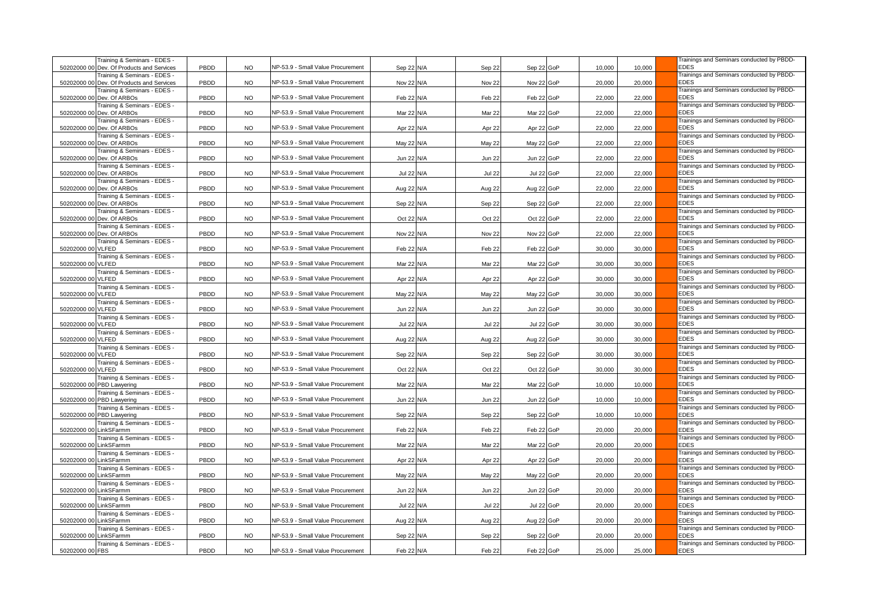| Training & Seminars - EDES -                                              |      |           |                                   |            |                   |            |        |        | Trainings and Seminars conducted by PBDD-                |
|---------------------------------------------------------------------------|------|-----------|-----------------------------------|------------|-------------------|------------|--------|--------|----------------------------------------------------------|
| 50202000 00 Dev. Of Products and Services<br>Training & Seminars - EDES - | PBDD | <b>NO</b> | NP-53.9 - Small Value Procurement | Sep 22 N/A | Sep 22            | Sep 22 GoP | 10.000 | 10.000 | EDES<br>Trainings and Seminars conducted by PBDD-        |
| 50202000 00 Dev. Of Products and Services                                 | PBDD | <b>NO</b> | NP-53.9 - Small Value Procurement | Nov 22 N/A | Nov <sub>22</sub> | Nov 22 GoP | 20,000 | 20.000 | EDES                                                     |
| Training & Seminars - EDES -                                              |      |           |                                   |            |                   |            |        |        | Trainings and Seminars conducted by PBDD-                |
| 50202000 00 Dev. Of ARBOs                                                 | PBDD | <b>NO</b> | NP-53.9 - Small Value Procurement | Feb 22 N/A | Feb 22            | Feb 22 GoP | 22,000 | 22,000 | <b>EDES</b>                                              |
| Training & Seminars - EDES -<br>50202000 00 Dev. Of ARBOs                 | PBDD | <b>NO</b> | NP-53.9 - Small Value Procurement | Mar 22 N/A | Mar 22            | Mar 22 GoP | 22,000 | 22,000 | Trainings and Seminars conducted by PBDD-<br>EDES        |
| Training & Seminars - EDES -                                              |      |           |                                   |            |                   |            |        |        | Trainings and Seminars conducted by PBDD-                |
| 50202000 00 Dev. Of ARBOs<br>Training & Seminars - EDES -                 | PBDD | <b>NO</b> | NP-53.9 - Small Value Procurement | Apr 22 N/A | Apr 22            | Apr 22 GoP | 22,000 | 22,000 | EDES<br>Trainings and Seminars conducted by PBDD-        |
| 50202000 00 Dev. Of ARBOs                                                 | PBDD | <b>NO</b> | NP-53.9 - Small Value Procurement | May 22 N/A | May 22            | May 22 GoP | 22,000 | 22,000 | EDES                                                     |
| Training & Seminars - EDES -                                              |      |           |                                   |            |                   |            |        |        | Trainings and Seminars conducted by PBDD-                |
| 50202000 00 Dev. Of ARBOs<br>Training & Seminars - EDES -                 | PBDD | <b>NO</b> | NP-53.9 - Small Value Procurement | Jun 22 N/A | <b>Jun 22</b>     | Jun 22 GoP | 22,000 | 22,000 | <b>EDES</b><br>Trainings and Seminars conducted by PBDD- |
| 50202000 00 Dev. Of ARBOs                                                 | PBDD | <b>NO</b> | NP-53.9 - Small Value Procurement | Jul 22 N/A | <b>Jul 22</b>     | Jul 22 GoP | 22,000 | 22,000 | <b>EDES</b>                                              |
| Training & Seminars - EDES -                                              |      |           |                                   |            |                   |            |        |        | Trainings and Seminars conducted by PBDD-                |
| 50202000 00 Dev. Of ARBOs<br>Training & Seminars - EDES -                 | PBDD | <b>NO</b> | NP-53.9 - Small Value Procurement | Aug 22 N/A | Aug 22            | Aug 22 GoP | 22,000 | 22,000 | EDES<br>Trainings and Seminars conducted by PBDD-        |
| 50202000 00 Dev. Of ARBOs                                                 | PBDD | <b>NO</b> | NP-53.9 - Small Value Procurement | Sep 22 N/A | Sep 22            | Sep 22 GoP | 22,000 | 22,000 | EDES                                                     |
| Training & Seminars - EDES -                                              |      |           |                                   |            |                   |            |        |        | Trainings and Seminars conducted by PBDD-                |
| 50202000 00 Dev. Of ARBOs<br>Training & Seminars - EDES -                 | PBDD | <b>NO</b> | NP-53.9 - Small Value Procurement | Oct 22 N/A | Oct 22            | Oct 22 GoP | 22,000 | 22,000 | EDES<br>Trainings and Seminars conducted by PBDD-        |
| 50202000 00 Dev. Of ARBOs                                                 | PBDD | <b>NO</b> | NP-53.9 - Small Value Procurement | Nov 22 N/A | Nov <sub>22</sub> | Nov 22 GoP | 22,000 | 22,000 | EDES                                                     |
| Training & Seminars - EDES -                                              | PBDD | <b>NO</b> | NP-53.9 - Small Value Procurement |            |                   |            | 30,000 |        | Trainings and Seminars conducted by PBDD-<br>EDES        |
| 50202000 00 VLFED<br>Training & Seminars - EDES -                         |      |           |                                   | Feb 22 N/A | Feb 22            | Feb 22 GoP |        | 30,000 | Trainings and Seminars conducted by PBDD-                |
| 50202000 00 VLFED                                                         | PBDD | <b>NO</b> | NP-53.9 - Small Value Procurement | Mar 22 N/A | Mar 22            | Mar 22 GoP | 30,000 | 30,000 | EDES                                                     |
| Training & Seminars - EDES -<br>50202000 00 VLFED                         | PBDD | <b>NO</b> | NP-53.9 - Small Value Procurement |            |                   | Apr 22 GoP | 30,000 | 30,000 | Trainings and Seminars conducted by PBDD-<br><b>EDES</b> |
| Training & Seminars - EDES -                                              |      |           |                                   | Apr 22 N/A | Apr 22            |            |        |        | Trainings and Seminars conducted by PBDD-                |
| 50202000 00 VLFED                                                         | PBDD | <b>NO</b> | NP-53.9 - Small Value Procurement | May 22 N/A | May 22            | May 22 GoP | 30,000 | 30,000 | EDES                                                     |
| Training & Seminars - EDES -                                              | PBDD | <b>NO</b> | NP-53.9 - Small Value Procurement |            |                   |            | 30,000 | 30,000 | Trainings and Seminars conducted by PBDD-<br>EDES        |
| 50202000 00 VLFED<br>Training & Seminars - EDES -                         |      |           |                                   | Jun 22 N/A | <b>Jun 22</b>     | Jun 22 GoP |        |        | Trainings and Seminars conducted by PBDD-                |
| 50202000 00 VLFED                                                         | PBDD | <b>NO</b> | NP-53.9 - Small Value Procurement | Jul 22 N/A | <b>Jul 22</b>     | Jul 22 GoP | 30,000 | 30,000 | EDES                                                     |
| Training & Seminars - EDES -<br>50202000 00 VLFED                         | PBDD | <b>NO</b> | NP-53.9 - Small Value Procurement |            | Aug 22            | Aug 22 GoP | 30,000 | 30.000 | Frainings and Seminars conducted by PBDD-<br><b>EDES</b> |
| Training & Seminars - EDES -                                              |      |           |                                   | Aug 22 N/A |                   |            |        |        | Trainings and Seminars conducted by PBDD-                |
| 50202000 00 VLFED                                                         | PBDD | <b>NO</b> | NP-53.9 - Small Value Procurement | Sep 22 N/A | Sep 22            | Sep 22 GoP | 30,000 | 30,000 | <b>EDES</b>                                              |
| Training & Seminars - EDES -<br>50202000 00 VLFED                         | PBDD | <b>NO</b> | NP-53.9 - Small Value Procurement | Oct 22 N/A | Oct 22            | Oct 22 GoP | 30,000 | 30,000 | Trainings and Seminars conducted by PBDD-<br>EDES        |
| Training & Seminars - EDES -                                              |      |           |                                   |            |                   |            |        |        | Trainings and Seminars conducted by PBDD-                |
| 50202000 00 PBD Lawyering                                                 | PBDD | <b>NO</b> | NP-53.9 - Small Value Procurement | Mar 22 N/A | Mar 22            | Mar 22 GoP | 10,000 | 10,000 | <b>EDES</b>                                              |
| Training & Seminars - EDES -<br>50202000 00 PBD Lawyering                 | PBDD | <b>NO</b> | NP-53.9 - Small Value Procurement | Jun 22 N/A | Jun 22            | Jun 22 GoP | 10,000 | 10,000 | Trainings and Seminars conducted by PBDD-<br>EDES        |
| Training & Seminars - EDES -                                              |      |           |                                   |            |                   |            |        |        | Trainings and Seminars conducted by PBDD-                |
| 50202000 00 PBD Lawyering                                                 | PBDD | <b>NO</b> | NP-53.9 - Small Value Procurement | Sep 22 N/A | Sep 22            | Sep 22 GoP | 10,000 | 10,000 | EDES                                                     |
| Training & Seminars - EDES -<br>50202000 00 LinkSFarmm                    | PBDD | <b>NO</b> | NP-53.9 - Small Value Procurement | Feb 22 N/A | Feb 22            | Feb 22 GoP | 20,000 | 20,000 | Trainings and Seminars conducted by PBDD-<br><b>EDES</b> |
| Training & Seminars - EDES -                                              |      |           |                                   |            |                   |            |        |        | Trainings and Seminars conducted by PBDD-                |
| 50202000 00 LinkSFarmm                                                    | PBDD | <b>NO</b> | NP-53.9 - Small Value Procurement | Mar 22 N/A | Mar 22            | Mar 22 GoP | 20,000 | 20,000 | <b>EDES</b>                                              |
| Fraining & Seminars - EDES -<br>50202000 00 LinkSFarmm                    | PBDD | <b>NO</b> | NP-53.9 - Small Value Procurement | Apr 22 N/A | Apr 22            | Apr 22 GoP | 20,000 | 20,000 | Trainings and Seminars conducted by PBDD-<br><b>EDES</b> |
| Training & Seminars - EDES -                                              |      |           |                                   |            |                   |            |        |        | Trainings and Seminars conducted by PBDD-                |
| 50202000 00 LinkSFarmm                                                    | PBDD | <b>NO</b> | NP-53.9 - Small Value Procurement | May 22 N/A | May 22            | May 22 GoP | 20,000 | 20,000 | EDES                                                     |
| Training & Seminars - EDES -<br>50202000 00 LinkSFarmm                    | PBDD | <b>NO</b> | VP-53.9 - Small Value Procurement | Jun 22 N/A | Jun 22            | Jun 22 GoP | 20,000 | 20,000 | Trainings and Seminars conducted by PBDD-<br>EDES        |
| Training & Seminars - EDES -                                              |      |           |                                   |            |                   |            |        |        | Trainings and Seminars conducted by PBDD-                |
| 50202000 00 LinkSFarmm                                                    | PBDD | <b>NO</b> | NP-53.9 - Small Value Procurement | Jul 22 N/A | Jul 22            | Jul 22 GoP | 20,000 | 20,000 | <b>EDES</b>                                              |
| Training & Seminars - EDES -<br>50202000 00 LinkSFarmm                    | PBDD | <b>NO</b> | NP-53.9 - Small Value Procurement | Aug 22 N/A | Aug 22            | Aug 22 GoP | 20.000 | 20.000 | Trainings and Seminars conducted by PBDD-<br><b>EDES</b> |
| Training & Seminars - EDES -                                              |      |           |                                   |            |                   |            |        |        | Trainings and Seminars conducted by PBDD-                |
| 50202000 00 LinkSFarmm                                                    | PBDD | <b>NO</b> | NP-53.9 - Small Value Procurement | Sep 22 N/A | Sep 22            | Sep 22 GoP | 20.000 | 20.000 | EDES                                                     |
| Training & Seminars - EDES -<br>50202000 00 FBS                           | PBDD | <b>NO</b> | NP-53.9 - Small Value Procurement | Feb 22 N/A | Feb 22            | Feb 22 GoP | 25.000 | 25,000 | Trainings and Seminars conducted by PBDD-<br>EDES        |
|                                                                           |      |           |                                   |            |                   |            |        |        |                                                          |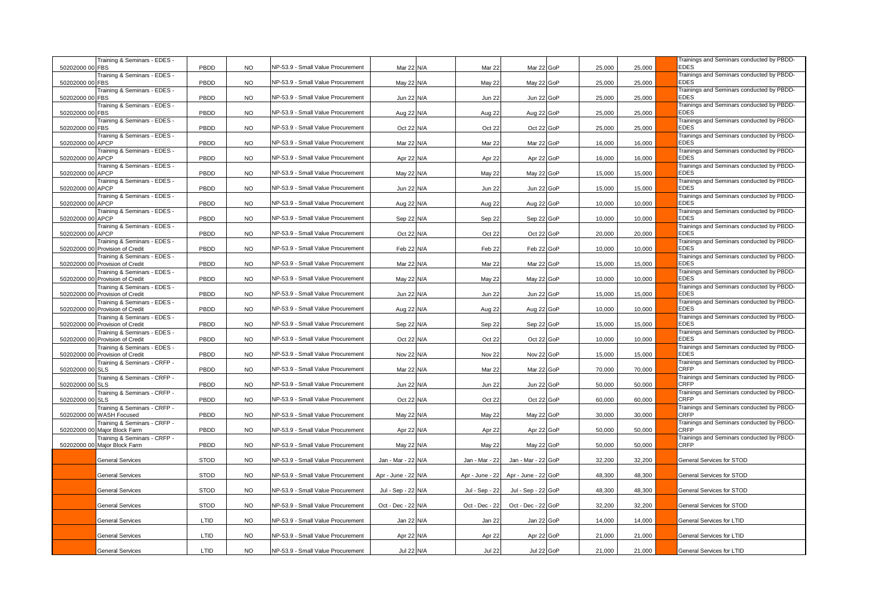|                  | Training & Seminars - EDES -                                    |             |           |                                          |                     |                   |                     |        |        | Trainings and Seminars conducted by PBDD-                |
|------------------|-----------------------------------------------------------------|-------------|-----------|------------------------------------------|---------------------|-------------------|---------------------|--------|--------|----------------------------------------------------------|
| 50202000 00 FBS  | Training & Seminars - EDES -                                    | PBDD        | <b>NO</b> | NP-53.9 - Small Value Procurement        | Mar 22 N/A          | Mar 22            | Mar 22 GoP          | 25,000 | 25,000 | EDES<br>Trainings and Seminars conducted by PBDD-        |
| 50202000 00 FBS  |                                                                 | PBDD        | <b>NO</b> | NP-53.9 - Small Value Procurement        | May 22 N/A          | May 22            | May 22 GoP          | 25,000 | 25.000 | EDES                                                     |
| 50202000 00 FBS  | Training & Seminars - EDES -                                    | PBDD        | <b>NO</b> | NP-53.9 - Small Value Procurement        | Jun 22 N/A          | <b>Jun 22</b>     | Jun 22 GoP          | 25,000 | 25.000 | Trainings and Seminars conducted by PBDD-<br><b>EDES</b> |
| 50202000 00 FBS  | Training & Seminars - EDES -                                    | PBDD        | <b>NO</b> | NP-53.9 - Small Value Procurement        | Aug 22 N/A          | Aug 22            | Aug 22 GoP          | 25,000 | 25,000 | Trainings and Seminars conducted by PBDD-<br>EDES        |
|                  | Training & Seminars - EDES -                                    |             |           |                                          |                     |                   |                     |        |        | Trainings and Seminars conducted by PBDD-                |
| 50202000 00 FBS  | Training & Seminars - EDES -                                    | PBDD        | <b>NO</b> | NP-53.9 - Small Value Procurement        | Oct 22 N/A          | Oct 22            | Oct 22 GoP          | 25,000 | 25,000 | EDES<br>Trainings and Seminars conducted by PBDD-        |
| 50202000 00 APCP |                                                                 | PBDD        | <b>NO</b> | NP-53.9 - Small Value Procurement        | Mar 22 N/A          | Mar 22            | Mar 22 GoP          | 16,000 | 16,000 | EDES                                                     |
| 50202000 00 APCP | Training & Seminars - EDES -                                    | PBDD        | <b>NO</b> | NP-53.9 - Small Value Procurement        | Apr 22 N/A          | Apr 22            | Apr 22 GoP          | 16,000 | 16,000 | Trainings and Seminars conducted by PBDD-<br>EDES        |
| 50202000 00 APCP | Fraining & Seminars - EDES -                                    | PBDD        | <b>NO</b> | NP-53.9 - Small Value Procurement        | May 22 N/A          | May 22            | May 22 GoP          | 15,000 | 15,000 | Trainings and Seminars conducted by PBDD-<br>EDES        |
| 50202000 00 APCP | Training & Seminars - EDES -                                    | PBDD        | <b>NO</b> | NP-53.9 - Small Value Procurement        | Jun 22 N/A          | Jun 22            | Jun 22 GoP          | 15,000 | 15,000 | Trainings and Seminars conducted by PBDD-<br>EDES        |
|                  | Training & Seminars - EDES -                                    |             |           |                                          |                     |                   |                     |        |        | Trainings and Seminars conducted by PBDD-                |
| 50202000 00 APCP | Training & Seminars - EDES -                                    | PBDD        | <b>NO</b> | NP-53.9 - Small Value Procurement        | Aug 22 N/A          | Aug 22            | Aug 22 GoP          | 10,000 | 10,000 | EDES<br>Trainings and Seminars conducted by PBDD-        |
| 50202000 00 APCP |                                                                 | PBDD        | <b>NO</b> | NP-53.9 - Small Value Procurement        | Sep 22 N/A          | Sep 22            | Sep 22 GoP          | 10,000 | 10,000 | EDES                                                     |
| 50202000 00 APCP | Training & Seminars - EDES -                                    | PBDD        | <b>NO</b> | NP-53.9 - Small Value Procurement        | Oct 22 N/A          | Oct 22            | Oct 22 GoP          | 20,000 | 20.000 | Trainings and Seminars conducted by PBDD-<br>EDES        |
|                  | Training & Seminars - EDES -<br>50202000 00 Provision of Credit | PBDD        | <b>NO</b> | NP-53.9 - Small Value Procurement        | Feb 22 N/A          | Feb 22            | Feb 22 GoP          | 10,000 | 10,000 | Trainings and Seminars conducted by PBDD-<br>EDES        |
|                  | Training & Seminars - EDES -                                    |             |           |                                          |                     |                   |                     |        |        | Trainings and Seminars conducted by PBDD-                |
|                  | 50202000 00 Provision of Credit<br>Training & Seminars - EDES - | PBDD        | <b>NO</b> | NP-53.9 - Small Value Procurement        | Mar 22 N/A          | Mar 22            | Mar 22 GoP          | 15,000 | 15,000 | EDES<br>Trainings and Seminars conducted by PBDD-        |
|                  | 50202000 00 Provision of Credit                                 | PBDD        | <b>NO</b> | NP-53.9 - Small Value Procurement        | May 22 N/A          | May 22            | May 22 GoP          | 10,000 | 10,000 | EDES                                                     |
|                  | Training & Seminars - EDES -<br>50202000 00 Provision of Credit | PBDD        | <b>NO</b> | NP-53.9 - Small Value Procurement        | Jun 22 N/A          | <b>Jun 22</b>     | Jun 22 GoP          | 15,000 | 15,000 | Trainings and Seminars conducted by PBDD-<br>EDES        |
|                  | Training & Seminars - EDES -<br>50202000 00 Provision of Credit | PBDD        | <b>NO</b> | NP-53.9 - Small Value Procurement        | Aug 22 N/A          | Aug 22            | Aug 22 GoP          | 10,000 | 10,000 | Trainings and Seminars conducted by PBDD-<br>EDES        |
|                  | Fraining & Seminars - EDES -<br>50202000 00 Provision of Credit | PBDD        | <b>NO</b> | NP-53.9 - Small Value Procurement        | Sep 22 N/A          | Sep 22            | Sep 22 GoP          | 15,000 | 15,000 | Trainings and Seminars conducted by PBDD-<br>EDES        |
|                  | Training & Seminars - EDES -<br>50202000 00 Provision of Credit | PBDD        | <b>NO</b> | NP-53.9 - Small Value Procurement        | Oct 22 N/A          | Oct 22            | Oct 22 GoP          | 10,000 | 10,000 | Trainings and Seminars conducted by PBDD-<br><b>EDES</b> |
|                  | Fraining & Seminars - EDES -                                    |             |           |                                          |                     |                   |                     |        |        | Trainings and Seminars conducted by PBDD-                |
|                  | 50202000 00 Provision of Credit<br>Training & Seminars - CRFP - | PBDD        | <b>NO</b> | NP-53.9 - Small Value Procurement        | Nov 22 N/A          | Nov <sub>22</sub> | Nov 22 GoP          | 15,000 | 15,000 | EDES<br>Trainings and Seminars conducted by PBDD-        |
| 50202000 00 SLS  |                                                                 | PBDD        | <b>NO</b> | NP-53.9 - Small Value Procurement        | Mar 22 N/A          | Mar 22            | Mar 22 GoP          | 70,000 | 70,000 | CRFP                                                     |
| 50202000 00 SLS  | Fraining & Seminars - CRFP -                                    | PBDD        | <b>NO</b> | NP-53.9 - Small Value Procurement        | Jun 22 N/A          | Jun 22            | Jun 22 GoP          | 50,000 | 50,000 | Trainings and Seminars conducted by PBDD-<br>CRFP        |
| 50202000 00 SLS  | Training & Seminars - CRFP -                                    | PBDD        | <b>NO</b> | NP-53.9 - Small Value Procurement        | Oct 22 N/A          | Oct 22            | Oct 22 GoP          | 60,000 | 60,000 | Trainings and Seminars conducted by PBDD-<br>CRFP        |
|                  | Training & Seminars - CRFP -                                    |             |           |                                          |                     |                   |                     |        |        | Trainings and Seminars conducted by PBDD-                |
|                  | 50202000 00 WASH Focused<br>Training & Seminars - CRFP -        | PBDD        | <b>NO</b> | NP-53.9 - Small Value Procurement        | May 22 N/A          | May 22            | May 22 GoP          | 30,000 | 30,000 | CRFP<br>Trainings and Seminars conducted by PBDD-        |
|                  | 50202000 00 Major Block Farm                                    | PBDD        | <b>NO</b> | <b>NP-53.9 - Small Value Procurement</b> | Apr 22 N/A          | Apr 22            | Apr 22 GoP          | 50,000 | 50,000 | CRFP                                                     |
|                  | Training & Seminars - CRFP -<br>50202000 00 Major Block Farm    | PBDD        | <b>NO</b> | NP-53.9 - Small Value Procurement        | May 22 N/A          | May 22            | May 22 GoP          | 50,000 | 50,000 | Trainings and Seminars conducted by PBDD-<br>CRFP        |
|                  | <b>General Services</b>                                         | <b>STOD</b> | <b>NO</b> | NP-53.9 - Small Value Procurement        | Jan - Mar - 22 N/A  | Jan - Mar - 22    | Jan - Mar - 22 GoP  | 32,200 | 32,200 | General Services for STOD                                |
|                  | <b>General Services</b>                                         | <b>STOD</b> | <b>NO</b> | NP-53.9 - Small Value Procurement        | Apr - June - 22 N/A | Apr - June - 22   | Apr - June - 22 GoP | 48,300 | 48,300 | General Services for STOD                                |
|                  | <b>General Services</b>                                         | <b>STOD</b> | <b>NO</b> | <b>NP-53.9 - Small Value Procurement</b> | Jul - Sep - 22 N/A  | Jul - Sep - 22    | Jul - Sep - 22 GoP  | 48,300 | 48,300 | General Services for STOD                                |
|                  | <b>General Services</b>                                         | <b>STOD</b> | <b>NO</b> | NP-53.9 - Small Value Procurement        |                     |                   | Oct - Dec - 22 GoP  | 32,200 | 32,200 | General Services for STOD                                |
|                  |                                                                 |             |           |                                          | Oct - Dec - 22 N/A  | Oct - Dec - 22    |                     |        |        |                                                          |
|                  | <b>General Services</b>                                         | LTID        | <b>NO</b> | NP-53.9 - Small Value Procurement        | Jan 22 N/A          | Jan 22            | Jan 22 GoP          | 14,000 | 14,000 | General Services for LTID                                |
|                  | <b>General Services</b>                                         | LTID        | <b>NO</b> | NP-53.9 - Small Value Procurement        | Apr 22 N/A          | Apr 22            | Apr 22 GoP          | 21,000 | 21,000 | General Services for LTID                                |
|                  | <b>General Services</b>                                         | LTID        | <b>NO</b> | NP-53.9 - Small Value Procurement        | Jul 22 N/A          | <b>Jul 22</b>     | Jul 22 GoP          | 21,000 | 21,000 | General Services for LTID                                |